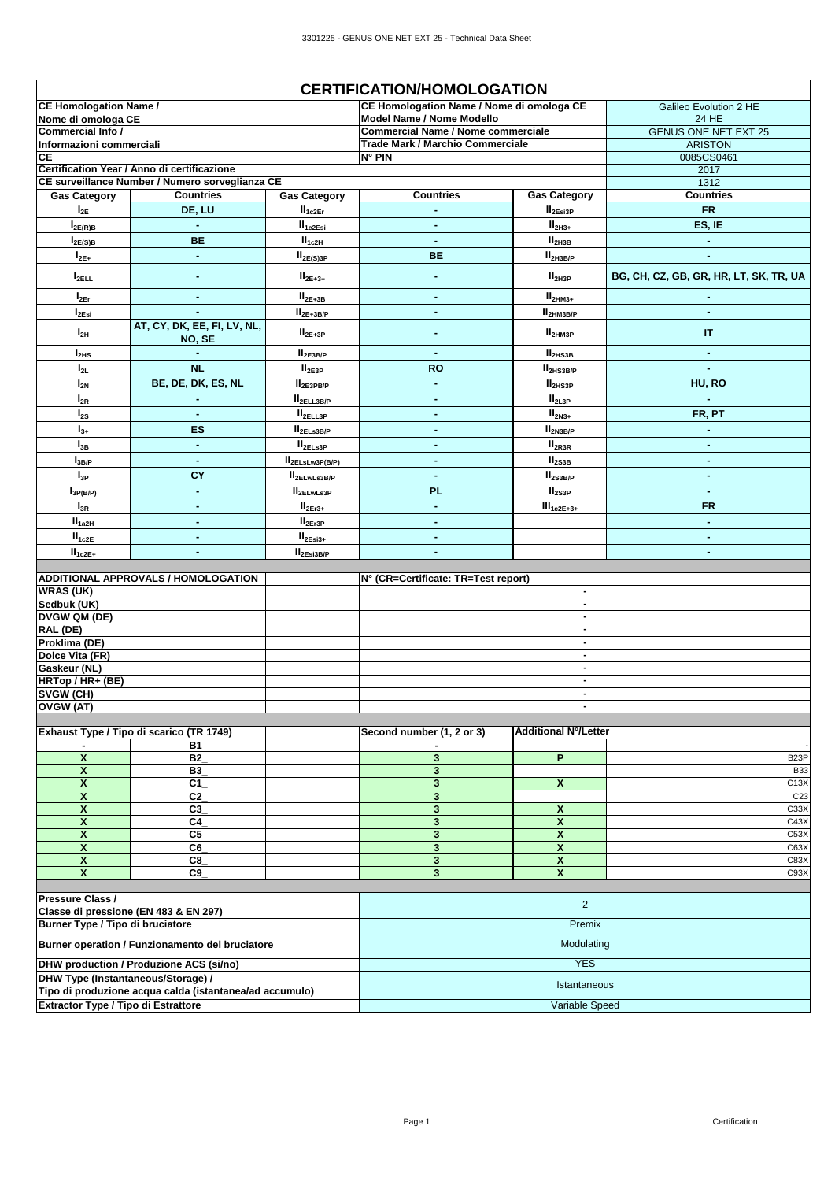|                                     |                                                         |                          | <b>CERTIFICATION/HOMOLOGATION</b>         |                                  |                                        |
|-------------------------------------|---------------------------------------------------------|--------------------------|-------------------------------------------|----------------------------------|----------------------------------------|
| <b>CE Homologation Name /</b>       |                                                         |                          | CE Homologation Name / Nome di omologa CE |                                  | Galileo Evolution 2 HE                 |
| Nome di omologa CE                  |                                                         |                          | Model Name / Nome Modello                 |                                  | 24 HE                                  |
| Commercial Info /                   |                                                         |                          | <b>Commercial Name / Nome commerciale</b> |                                  | <b>GENUS ONE NET EXT 25</b>            |
| Informazioni commerciali            |                                                         |                          | Trade Mark / Marchio Commerciale          |                                  | <b>ARISTON</b>                         |
| СE                                  | Certification Year / Anno di certificazione             |                          | $N^{\circ}$ PIN                           |                                  | 0085CS0461<br>2017                     |
|                                     | CE surveillance Number / Numero sorveglianza CE         |                          |                                           |                                  | 1312                                   |
| <b>Gas Category</b>                 | <b>Countries</b>                                        | <b>Gas Category</b>      | <b>Countries</b>                          | <b>Gas Category</b>              | Countries                              |
| $I_{2E}$                            | DE, LU                                                  | II <sub>1c2Er</sub>      | $\blacksquare$                            | II <sub>2Esi3P</sub>             | <b>FR</b>                              |
| $I_{2E(R)B}$                        |                                                         | II <sub>1c2Esi</sub>     | ä,                                        | $II2H3+$                         | ES, IE                                 |
| $I_{2E(S)B}$                        | <b>BE</b>                                               | $II_{1c2H}$              | $\blacksquare$                            | II <sub>2H3B</sub>               | ä,                                     |
| $I_{2E+}$                           | $\blacksquare$                                          | $II_{2E(S)3P}$           | <b>BE</b>                                 | II <sub>2H3B/P</sub>             | ä,                                     |
| $I_{2ELL}$                          | $\blacksquare$                                          | $II_{2E+3+}$             | $\blacksquare$                            | II <sub>2H3P</sub>               | BG, CH, CZ, GB, GR, HR, LT, SK, TR, UA |
| $I_{2Er}$                           | $\blacksquare$                                          | $II2E+3B$                | ٠                                         | $II2HM3+$                        |                                        |
| $I_{2Esi}$                          |                                                         | $II_{2E+3B/P}$           | ٠                                         | II <sub>2HM3B/P</sub>            | ٠                                      |
| $I_{2H}$                            | AT, CY, DK, EE, FI, LV, NL,                             | $II2E+3P$                | ٠                                         | II <sub>2HM3P</sub>              | IT.                                    |
|                                     | NO, SE                                                  |                          |                                           |                                  |                                        |
| $I_{2HS}$                           | <b>NL</b>                                               | $II_{2E3B/P}$            | $\blacksquare$                            | II <sub>2HS3B</sub>              | ٠                                      |
| $I_{2L}$                            |                                                         | II <sub>2E3P</sub>       | <b>RO</b>                                 | II <sub>2HS3B/P</sub>            |                                        |
| $I_{2N}$                            | BE, DE, DK, ES, NL                                      | II <sub>2E3PBP</sub>     | ۰                                         | II <sub>2HS3P</sub>              | HU, RO                                 |
| $I_{2R}$                            |                                                         | $II_{2ELL3B/P}$          | ٠                                         | II <sub>2L3P</sub>               |                                        |
| $I_{2S}$                            | ٠                                                       | $\rm{II}_{\rm{2ELL3P}}$  | $\blacksquare$                            | $II2N3+$                         | FR, PT                                 |
| $I_{3+}$                            | ES                                                      | $II_{2ELS3B/P}$          | $\blacksquare$                            | $II_{2N3B/P}$                    | ä,                                     |
| $I_{3B}$                            | $\blacksquare$                                          | II <sub>2ELs3P</sub>     | $\blacksquare$                            | II <sub>2R3R</sub>               | ٠                                      |
| $I_{3B/P}$                          |                                                         | $II_{2ELsLw3P(B/P)}$     | $\blacksquare$                            | II <sub>2S3B</sub>               | ٠                                      |
| $I_{3P}$                            | CY                                                      | II <sub>2ELwLs3B/P</sub> | $\blacksquare$                            | II <sub>2S3B/P</sub>             | ٠                                      |
| $I_{3P(B/P)}$                       | $\blacksquare$                                          | II <sub>2ELwLs3P</sub>   | PL                                        | II <sub>2S3P</sub>               | $\bullet$                              |
| $I_{3R}$                            | $\blacksquare$                                          | $II2Er3+$                | $\blacksquare$                            | $III_{1c2E+3+}$                  | <b>FR</b>                              |
| ${\bf \overline{H}}_{1a2H}$         | $\blacksquare$                                          | II <sub>2Er3P</sub>      | $\blacksquare$                            |                                  | ٠                                      |
| $II_{1c2E}$                         | $\blacksquare$                                          | $II_{2Esi3+}$            | $\blacksquare$                            |                                  | ٠                                      |
| $\mathsf{II}_{\texttt{1c2E+}}$      | ٠                                                       | $II_{2Esi3B/P}$          | ٠                                         |                                  | ٠                                      |
|                                     |                                                         |                          |                                           |                                  |                                        |
| <b>WRAS (UK)</b>                    | <b>ADDITIONAL APPROVALS / HOMOLOGATION</b>              |                          | N° (CR=Certificate: TR=Test report)       | $\blacksquare$                   |                                        |
| Sedbuk (UK)                         |                                                         |                          |                                           | $\blacksquare$                   |                                        |
| DVGW QM (DE)                        |                                                         |                          |                                           | $\blacksquare$                   |                                        |
| RAL (DE)                            |                                                         |                          |                                           | $\blacksquare$                   |                                        |
| Proklima (DE)                       |                                                         |                          |                                           | $\blacksquare$                   |                                        |
| Dolce Vita (FR)                     |                                                         |                          |                                           | $\blacksquare$                   |                                        |
| Gaskeur (NL)                        |                                                         |                          |                                           | $\blacksquare$                   |                                        |
| HRTop / HR+ (BE)<br>SVGW (CH)       |                                                         |                          |                                           | $\blacksquare$<br>$\blacksquare$ |                                        |
| OVGW (AT)                           |                                                         |                          |                                           | $\overline{\phantom{a}}$         |                                        |
|                                     |                                                         |                          |                                           |                                  |                                        |
|                                     | Exhaust Type / Tipo di scarico (TR 1749)                |                          | Second number (1, 2 or 3)                 | <b>Additional N°/Letter</b>      |                                        |
|                                     | <b>B1</b>                                               |                          |                                           |                                  |                                        |
| $\pmb{\mathsf{x}}$                  | B <sub>2</sub>                                          |                          | $\mathbf{3}$                              | P                                | B <sub>23</sub> P                      |
| $\pmb{\mathsf{x}}$<br>X             | <b>B3</b><br>C1                                         |                          | $\overline{\mathbf{3}}$<br>$\mathbf{3}$   | X                                | <b>B33</b><br>C13X                     |
| $\boldsymbol{\mathsf{x}}$           | C <sub>2</sub>                                          |                          | 3                                         |                                  | C <sub>23</sub>                        |
| X                                   | C <sub>3</sub>                                          |                          | 3                                         | X                                | C <sub>3</sub> 3X                      |
| $\boldsymbol{\mathsf{x}}$           | C4                                                      |                          | 3                                         | $\overline{\mathbf{x}}$          | C43X                                   |
| $\boldsymbol{x}$                    | C <sub>5</sub>                                          |                          | $\mathbf{3}$                              | $\overline{\mathbf{x}}$          | C53X                                   |
| $\boldsymbol{\mathsf{x}}$           | C6                                                      |                          | $\mathbf{3}$                              | $\overline{\mathbf{x}}$          | C63X                                   |
| $\boldsymbol{\mathsf{x}}$           | C8                                                      |                          | 3                                         | $\mathbf{x}$                     | C83X                                   |
| $\boldsymbol{\mathsf{x}}$           | C9                                                      |                          | 3                                         | $\boldsymbol{x}$                 | C93X                                   |
| Pressure Class /                    |                                                         |                          |                                           |                                  |                                        |
|                                     | Classe di pressione (EN 483 & EN 297)                   |                          |                                           | $\overline{2}$                   |                                        |
| Burner Type / Tipo di bruciatore    |                                                         |                          |                                           | Premix                           |                                        |
|                                     | Burner operation / Funzionamento del bruciatore         |                          |                                           | Modulating                       |                                        |
|                                     | <b>DHW</b> production / Produzione ACS (si/no)          |                          |                                           | <b>YES</b>                       |                                        |
| DHW Type (Instantaneous/Storage) /  |                                                         |                          |                                           |                                  |                                        |
|                                     | Tipo di produzione acqua calda (istantanea/ad accumulo) |                          |                                           | Istantaneous                     |                                        |
| Extractor Type / Tipo di Estrattore |                                                         |                          |                                           | Variable Speed                   |                                        |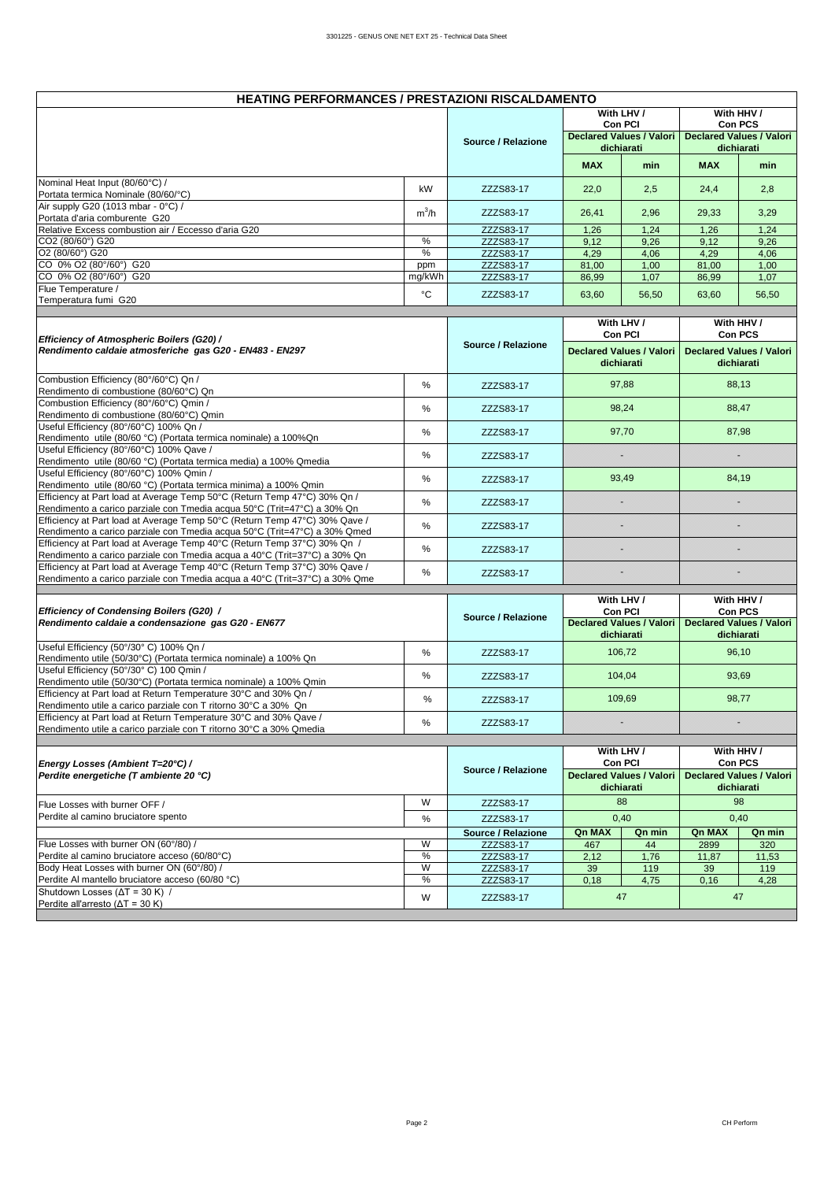| <b>HEATING PERFORMANCES / PRESTAZIONI RISCALDAMENTO</b>                                                                                                  |         |                    |              |                                                                                                                                                         |            |                                               |
|----------------------------------------------------------------------------------------------------------------------------------------------------------|---------|--------------------|--------------|---------------------------------------------------------------------------------------------------------------------------------------------------------|------------|-----------------------------------------------|
|                                                                                                                                                          |         |                    |              | With LHV /                                                                                                                                              |            | With HHV /                                    |
|                                                                                                                                                          |         |                    |              | Con PCI<br><b>Declared Values / Valori</b>                                                                                                              |            | Con PCS<br><b>Declared Values / Valori</b>    |
|                                                                                                                                                          |         | Source / Relazione |              | dichiarati                                                                                                                                              |            | dichiarati                                    |
|                                                                                                                                                          |         |                    | <b>MAX</b>   | min                                                                                                                                                     | <b>MAX</b> | min                                           |
| Nominal Heat Input (80/60°C) /                                                                                                                           | kW      | ZZZS83-17          | 22,0         | 2,5                                                                                                                                                     | 24,4       | 2,8                                           |
| Portata termica Nominale (80/60/°C)<br>Air supply G20 (1013 mbar - 0°C) /                                                                                |         |                    |              |                                                                                                                                                         |            |                                               |
| Portata d'aria comburente G20                                                                                                                            | $m^3/h$ | ZZZS83-17          | 26,41        | 2,96                                                                                                                                                    | 29,33      | 3,29                                          |
| Relative Excess combustion air / Eccesso d'aria G20                                                                                                      |         | ZZZS83-17          | 1,26         | 1,24                                                                                                                                                    | 1,26       | 1,24                                          |
| CO2 (80/60°) G20                                                                                                                                         | %       | ZZZS83-17          | 9,12         | 9,26                                                                                                                                                    | 9,12       | 9,26                                          |
| O2 (80/60°) G20                                                                                                                                          | $\%$    | ZZZS83-17          | 4,29         | 4,06                                                                                                                                                    | 4,29       | 4,06                                          |
| CO 0% O2 (80°/60°) G20                                                                                                                                   | ppm     | ZZZS83-17          | 81,00        | 1,00                                                                                                                                                    | 81,00      | 1,00                                          |
| CO 0% O2 (80°/60°) G20                                                                                                                                   | mg/kWh  | ZZZS83-17          | 86,99        | 1,07                                                                                                                                                    | 86,99      | 1,07                                          |
| Flue Temperature /<br>Temperatura fumi G20                                                                                                               | °C      | ZZZS83-17          | 63,60        | 56,50                                                                                                                                                   | 63,60      | 56,50                                         |
|                                                                                                                                                          |         |                    |              |                                                                                                                                                         |            |                                               |
|                                                                                                                                                          |         |                    |              | With LHV /                                                                                                                                              |            | With HHV /                                    |
| Efficiency of Atmospheric Boilers (G20) /                                                                                                                |         | Source / Relazione |              | Con PCI                                                                                                                                                 |            | <b>Con PCS</b>                                |
| Rendimento caldaie atmosferiche gas G20 - EN483 - EN297                                                                                                  |         |                    |              | <b>Declared Values / Valori</b><br>dichiarati                                                                                                           |            | <b>Declared Values / Valori</b><br>dichiarati |
| Combustion Efficiency (80°/60°C) Qn /<br>Rendimento di combustione (80/60°C) Qn                                                                          | %       | ZZZS83-17          |              | 97,88                                                                                                                                                   |            | 88,13                                         |
| Combustion Efficiency (80°/60°C) Qmin /<br>Rendimento di combustione (80/60°C) Qmin                                                                      | %       | ZZZS83-17          |              | 98,24                                                                                                                                                   |            | 88,47                                         |
| Useful Efficiency (80°/60°C) 100% Qn /<br>Rendimento utile (80/60 °C) (Portata termica nominale) a 100% Qn                                               | $\%$    | ZZZS83-17          |              | 97,70                                                                                                                                                   |            | 87,98                                         |
| Useful Efficiency (80°/60°C) 100% Qave /                                                                                                                 | $\%$    | ZZZS83-17          |              |                                                                                                                                                         |            | B                                             |
| Rendimento utile (80/60 °C) (Portata termica media) a 100% Qmedia<br>Useful Efficiency (80°/60°C) 100% Qmin /                                            |         |                    |              |                                                                                                                                                         |            |                                               |
| Rendimento utile (80/60 °C) (Portata termica minima) a 100% Qmin                                                                                         | $\%$    | ZZZS83-17          |              | 93,49                                                                                                                                                   |            | 84,19                                         |
| Efficiency at Part load at Average Temp 50°C (Return Temp 47°C) 30% Qn /<br>Rendimento a carico parziale con Tmedia acqua 50°C (Trit=47°C) a 30% Qn      | $\%$    | ZZZS83-17          |              |                                                                                                                                                         |            |                                               |
| Efficiency at Part load at Average Temp 50°C (Return Temp 47°C) 30% Qave /<br>Rendimento a carico parziale con Tmedia acqua 50°C (Trit=47°C) a 30% Qmed  | %       | ZZZS83-17          |              |                                                                                                                                                         |            |                                               |
| Efficiency at Part load at Average Temp 40°C (Return Temp 37°C) 30% Qn /<br>Rendimento a carico parziale con Tmedia acqua a 40°C (Trit=37°C) a 30% Qn    | $\%$    | ZZZS83-17          |              |                                                                                                                                                         |            |                                               |
| Efficiency at Part load at Average Temp 40°C (Return Temp 37°C) 30% Qave /<br>Rendimento a carico parziale con Tmedia acqua a 40°C (Trit=37°C) a 30% Qme | %       | ZZZS83-17          |              |                                                                                                                                                         |            |                                               |
|                                                                                                                                                          |         |                    |              |                                                                                                                                                         |            |                                               |
| Efficiency of Condensing Boilers (G20) /<br>Rendimento caldaie a condensazione gas G20 - EN677                                                           |         | Source / Relazione |              | With HHV /<br>With LHV /<br>Con PCI<br><b>Con PCS</b><br><b>Declared Values / Valori</b><br><b>Declared Values / Valori</b><br>dichiarati<br>dichiarati |            |                                               |
| Useful Efficiency (50°/30° C) 100% Qn /<br>Rendimento utile (50/30°C) (Portata termica nominale) a 100% Qn                                               | %       | ZZZS83-17          |              | 106,72                                                                                                                                                  |            | 96,10                                         |
| Useful Efficiency (50°/30° C) 100 Qmin /<br>Rendimento utile (50/30°C) (Portata termica nominale) a 100% Qmin                                            | %       | ZZZS83-17          |              | 104,04                                                                                                                                                  |            | 93,69                                         |
| Efficiency at Part load at Return Temperature 30°C and 30% Qn /<br>Rendimento utile a carico parziale con T ritorno 30°C a 30% Qn                        | %       | ZZZS83-17          |              | 109,69                                                                                                                                                  |            | 98,77                                         |
| Efficiency at Part load at Return Temperature 30°C and 30% Qave /<br>Rendimento utile a carico parziale con T ritorno 30°C a 30% Qmedia                  | %       | ZZZS83-17          |              |                                                                                                                                                         |            |                                               |
|                                                                                                                                                          |         |                    |              |                                                                                                                                                         |            |                                               |
|                                                                                                                                                          |         |                    |              | With LHV /                                                                                                                                              |            | With HHV /                                    |
| Energy Losses (Ambient T=20°C) /<br>Perdite energetiche (T ambiente 20 °C)                                                                               |         | Source / Relazione |              | Con PCI<br><b>Declared Values / Valori</b>                                                                                                              |            | Con PCS<br><b>Declared Values / Valori</b>    |
| Flue Losses with burner OFF /                                                                                                                            | W       | ZZZS83-17          |              | dichiarati<br>88                                                                                                                                        |            | dichiarati<br>98                              |
| Perdite al camino bruciatore spento                                                                                                                      | $\%$    | ZZZS83-17          |              | 0,40                                                                                                                                                    |            | 0,40                                          |
|                                                                                                                                                          |         | Source / Relazione | Qn MAX       | Qn min                                                                                                                                                  | Qn MAX     | Qn min                                        |
| Flue Losses with burner ON (60°/80) /                                                                                                                    | W       | ZZZS83-17          | 467          | 44                                                                                                                                                      | 2899       | 320                                           |
| Perdite al camino bruciatore acceso (60/80°C)                                                                                                            | $\%$    | ZZZS83-17          | 2,12<br>1,76 |                                                                                                                                                         | 11,87      | 11,53                                         |
| Body Heat Losses with burner ON (60°/80) /                                                                                                               | W       | ZZZS83-17          | 39           | 119                                                                                                                                                     | 39         | 119                                           |
| Perdite Al mantello bruciatore acceso (60/80 °C)                                                                                                         | $\%$    | ZZZS83-17          | 0,18         | 4,75                                                                                                                                                    | 0,16       | 4,28                                          |
| Shutdown Losses ( $\Delta T = 30$ K) /<br>Perdite all'arresto ( $\Delta T = 30$ K)                                                                       | W       | ZZZS83-17          |              | 47                                                                                                                                                      |            | 47                                            |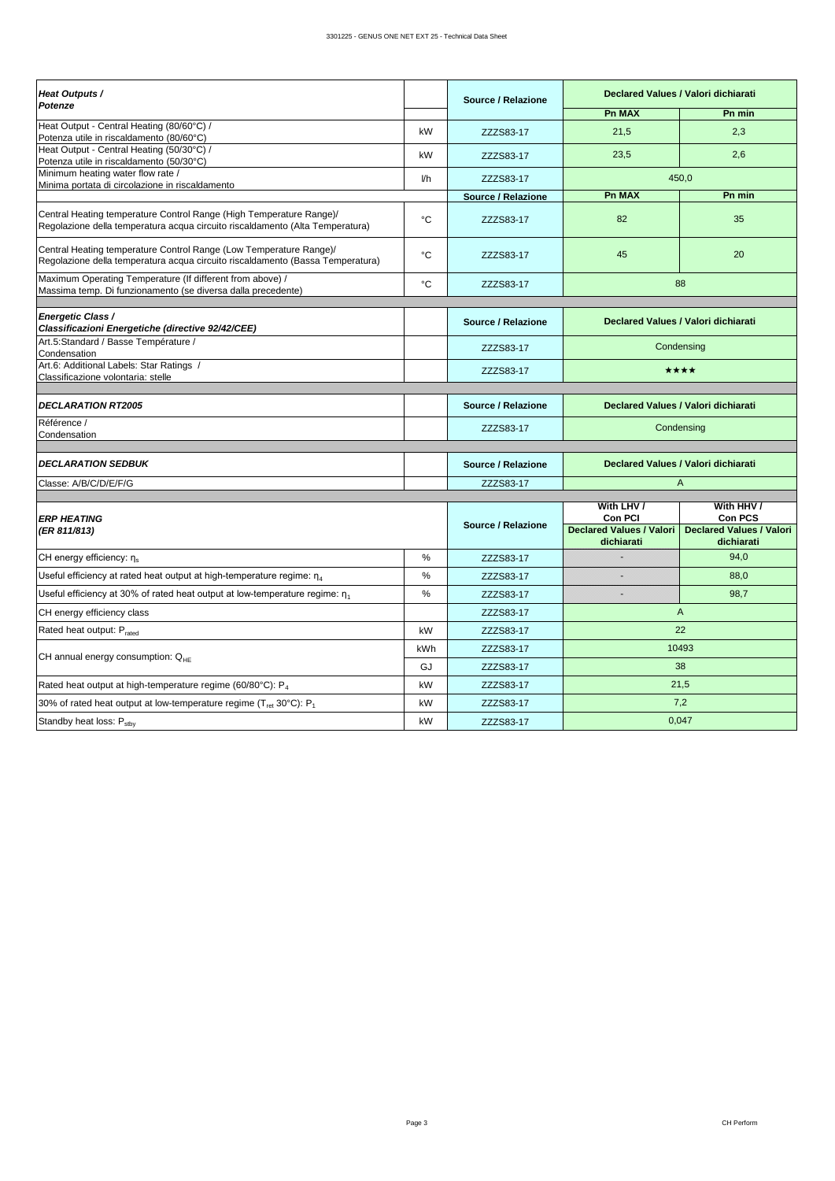| Heat Outputs /<br>Potenze                                                                                                                            |      | Source / Relazione |                                               | Declared Values / Valori dichiarati           |  |  |  |
|------------------------------------------------------------------------------------------------------------------------------------------------------|------|--------------------|-----------------------------------------------|-----------------------------------------------|--|--|--|
|                                                                                                                                                      |      |                    | <b>Pn MAX</b>                                 | Pn min                                        |  |  |  |
| Heat Output - Central Heating (80/60°C) /<br>Potenza utile in riscaldamento (80/60°C)                                                                | kW   | ZZZS83-17          | 21,5                                          | 2,3                                           |  |  |  |
| Heat Output - Central Heating (50/30°C) /<br>Potenza utile in riscaldamento (50/30°C)                                                                | kW   | ZZZS83-17          | 23,5                                          | 2,6                                           |  |  |  |
| Minimum heating water flow rate /<br>Minima portata di circolazione in riscaldamento                                                                 | Vh   | ZZZS83-17          |                                               | 450,0                                         |  |  |  |
|                                                                                                                                                      |      | Source / Relazione | <b>Pn MAX</b>                                 | Pn min                                        |  |  |  |
| Central Heating temperature Control Range (High Temperature Range)/<br>Regolazione della temperatura acqua circuito riscaldamento (Alta Temperatura) | °C   | ZZZS83-17          | 82                                            | 35                                            |  |  |  |
| Central Heating temperature Control Range (Low Temperature Range)/<br>Regolazione della temperatura acqua circuito riscaldamento (Bassa Temperatura) | °C   | ZZZS83-17          | 45                                            | 20                                            |  |  |  |
| Maximum Operating Temperature (If different from above) /<br>Massima temp. Di funzionamento (se diversa dalla precedente)                            | °C   | ZZZS83-17          |                                               | 88                                            |  |  |  |
|                                                                                                                                                      |      |                    |                                               |                                               |  |  |  |
| Energetic Class /<br>Classificazioni Energetiche (directive 92/42/CEE)                                                                               |      | Source / Relazione |                                               | Declared Values / Valori dichiarati           |  |  |  |
| Art.5:Standard / Basse Température /<br>Condensation                                                                                                 |      | ZZZS83-17          |                                               | Condensing                                    |  |  |  |
| Art.6: Additional Labels: Star Ratings /<br>Classificazione volontaria: stelle                                                                       |      | ZZZS83-17          |                                               | ****                                          |  |  |  |
|                                                                                                                                                      |      |                    |                                               |                                               |  |  |  |
| <b>DECLARATION RT2005</b>                                                                                                                            |      | Source / Relazione |                                               | Declared Values / Valori dichiarati           |  |  |  |
| Référence /<br>Condensation                                                                                                                          |      | ZZZS83-17          |                                               | Condensing                                    |  |  |  |
| <b>DECLARATION SEDBUK</b>                                                                                                                            |      | Source / Relazione |                                               | Declared Values / Valori dichiarati           |  |  |  |
| Classe: A/B/C/D/E/F/G                                                                                                                                |      | ZZZS83-17          |                                               | $\overline{A}$                                |  |  |  |
|                                                                                                                                                      |      |                    | With LHV /                                    | With HHV /                                    |  |  |  |
| <b>ERP HEATING</b>                                                                                                                                   |      |                    | Con PCI                                       | Con PCS                                       |  |  |  |
| (ER 811/813)                                                                                                                                         |      | Source / Relazione | <b>Declared Values / Valori</b><br>dichiarati | <b>Declared Values / Valori</b><br>dichiarati |  |  |  |
| CH energy efficiency: ης                                                                                                                             | %    | ZZZS83-17          |                                               | 94,0                                          |  |  |  |
| Useful efficiency at rated heat output at high-temperature regime: $\eta_4$                                                                          | $\%$ | ZZZS83-17          |                                               | 88.0                                          |  |  |  |
| Useful efficiency at 30% of rated heat output at low-temperature regime: $\eta_1$                                                                    | $\%$ | ZZZS83-17          |                                               | 98,7                                          |  |  |  |
| CH energy efficiency class                                                                                                                           |      | ZZZS83-17          | $\overline{A}$                                |                                               |  |  |  |
| Rated heat output: Prated                                                                                                                            | kW   | ZZZS83-17          |                                               | 22                                            |  |  |  |
| CH annual energy consumption: $Q_{HF}$                                                                                                               | kWh  | ZZZS83-17          | 10493                                         |                                               |  |  |  |
|                                                                                                                                                      | GJ   | ZZZS83-17          |                                               | 38                                            |  |  |  |
| Rated heat output at high-temperature regime (60/80°C): P <sub>4</sub>                                                                               | kW   | ZZZS83-17          |                                               | 21,5                                          |  |  |  |
| 30% of rated heat output at low-temperature regime (T <sub>ret</sub> 30°C): P <sub>1</sub>                                                           | kW   | ZZZS83-17          |                                               | 7,2                                           |  |  |  |
| Standby heat loss: P <sub>sthv</sub>                                                                                                                 | kW   | ZZZS83-17          | 0,047                                         |                                               |  |  |  |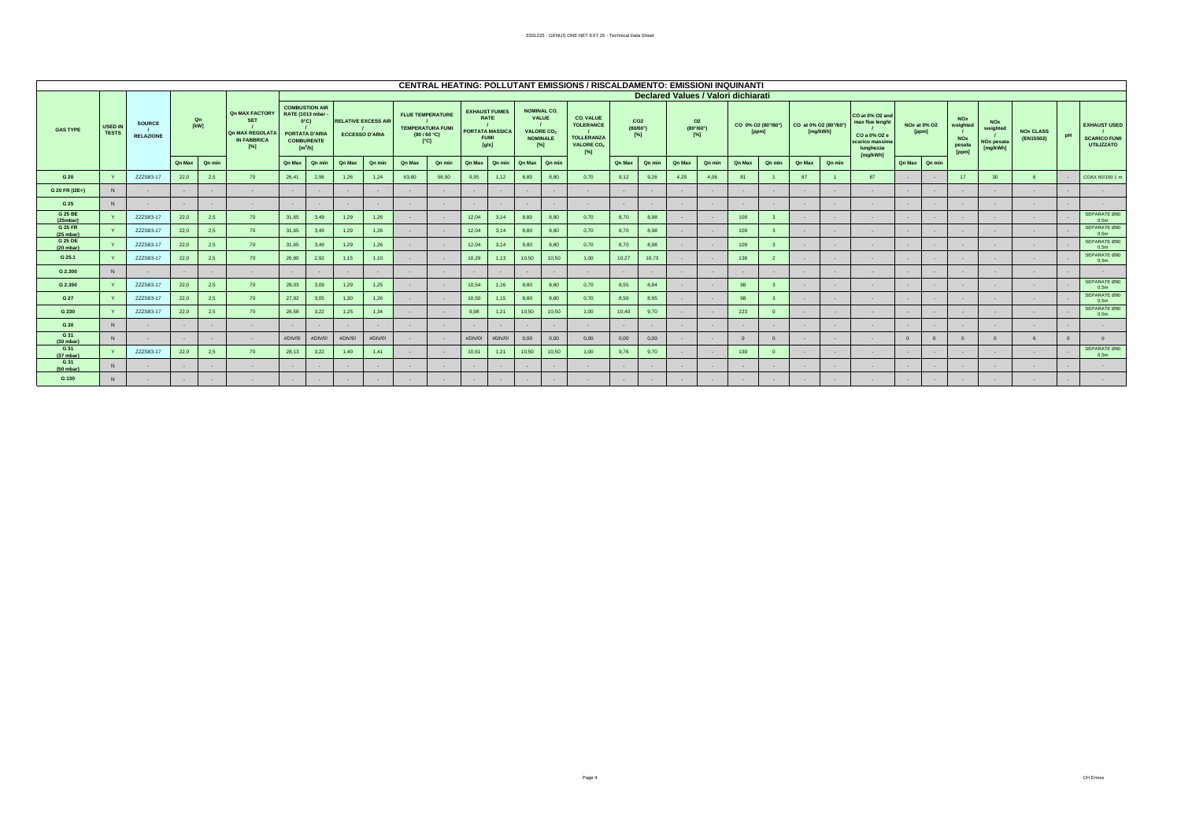|                                |                  |                                   |        |                   |                                                                                               |         |                                                                                                                               |               |                                                     |               |                                                                                           |         |                                                                                       |               |                                                                                       | CENTRAL HEATING: POLLUTANT EMISSIONS / RISCALDAMENTO: EMISSIONI INQUINANTI                |        |                                       |               |                                                       |                                     |              |                       |          |                                                                                                |        |                       |                                                         |                                                              |                               |    |                                                                 |
|--------------------------------|------------------|-----------------------------------|--------|-------------------|-----------------------------------------------------------------------------------------------|---------|-------------------------------------------------------------------------------------------------------------------------------|---------------|-----------------------------------------------------|---------------|-------------------------------------------------------------------------------------------|---------|---------------------------------------------------------------------------------------|---------------|---------------------------------------------------------------------------------------|-------------------------------------------------------------------------------------------|--------|---------------------------------------|---------------|-------------------------------------------------------|-------------------------------------|--------------|-----------------------|----------|------------------------------------------------------------------------------------------------|--------|-----------------------|---------------------------------------------------------|--------------------------------------------------------------|-------------------------------|----|-----------------------------------------------------------------|
|                                |                  |                                   |        |                   |                                                                                               |         |                                                                                                                               |               |                                                     |               |                                                                                           |         |                                                                                       |               |                                                                                       |                                                                                           |        |                                       |               |                                                       | Declared Values / Valori dichiarati |              |                       |          |                                                                                                |        |                       |                                                         |                                                              |                               |    |                                                                 |
| <b>GAS TYPE</b>                | USED IN<br>TESTS | <b>SOURCE</b><br><b>RELAZIONE</b> |        | Qn<br><b>TkW1</b> | <b>Qn MAX FACTORY</b><br><b>SET</b><br><b>Qn MAX REGOLATA</b><br><b>IN FABBRICA</b><br>$[\%]$ |         | <b>COMBUSTION AIR</b><br><b>RATE (1013 mbar)</b><br>$0^{\circ}$ C)<br><b>PORTATA D'ARIA</b><br><b>COMBURENTE</b><br>$[m^3/h]$ |               | <b>RELATIVE EXCESS AIR</b><br><b>ECCESSO D'ARIA</b> |               | <b>FLUE TEMPERATURE</b><br><b>TEMPERATURA FUMI</b><br>(80/60 °C)<br>$\Gamma$ <sup>c</sup> |         | <b>EXHAUST FUMES</b><br><b>RATE</b><br><b>PORTATA MASSICA</b><br><b>FUMI</b><br>[q/s] |               | <b>NOMINAL CO.</b><br>VALUE<br><b>VALORE CO<sub>2</sub></b><br><b>NOMINALE</b><br>[%] | CO, VALUE<br><b>TOLERANCE</b><br><b>TOLLERANZA</b><br><b>VALORE CO<sub>2</sub></b><br>[%] |        | CO <sub>2</sub><br>(80/60°)<br>$[\%]$ |               | O <sub>2</sub><br>$(80^{\circ}/60^{\circ})$<br>$[\%]$ | CO 0% O2 (80°/60°)                  | <b>[ppm]</b> | CO at 0% O2 (80°/60°) | [mg/kWh] | CO at 0% O2 and<br>max flue lenght<br>CO a 0% O2 e<br>scarico massima<br>lunghezza<br>[ma/kWh] |        | NOx at 0% O2<br>[ppm] | <b>NOx</b><br>weighted<br><b>NOx</b><br>pesata<br>[ppm] | <b>NOx</b><br>weighted<br>NO <sub>x</sub> pesata<br>[mg/kWh] | <b>NOx CLASS</b><br>(EN15502) | pH | <b>EXHAUST USED</b><br><b>SCARICO FUMI</b><br><b>UTILIZZATO</b> |
|                                |                  |                                   | Qn Max | Qn min            |                                                                                               | Qn Max  | Qn min                                                                                                                        | <b>Qn Max</b> | Qn min                                              | <b>Qn Max</b> | Qn min                                                                                    | Qn Max  | Qn min                                                                                | <b>Qn Max</b> | Qn min                                                                                |                                                                                           | Qn Max | Qn min                                | <b>Qn Max</b> | Qn min                                                | <b>Qn Max</b>                       | Qn min       | <b>Qn Max</b>         | Qn min   |                                                                                                | Qn Max | $\sqrt{a}$ n min      |                                                         |                                                              |                               |    |                                                                 |
| G 20                           |                  | ZZZS83-17                         | 22,0   | 2.5               | 70                                                                                            | 26,41   | 2,96                                                                                                                          | 1,26          | 1,24                                                | 63.60         | 56.50                                                                                     | 9,95    | 1.12                                                                                  | 8.80          | 8.80                                                                                  | 0.70                                                                                      | 9,12   | 9,26                                  | 4,29          | 4,06                                                  | 81                                  |              | 87                    |          | 87                                                                                             |        |                       | 17                                                      | 30 <sup>°</sup>                                              |                               |    | COAX 60/100 1 m                                                 |
| G 20 FR (I2E+)                 | N                |                                   | 828    |                   | 55                                                                                            | 2222    |                                                                                                                               |               |                                                     |               | 55555                                                                                     |         |                                                                                       |               |                                                                                       | 98                                                                                        | 888    | 5555                                  |               | - 22                                                  |                                     |              |                       |          |                                                                                                |        |                       |                                                         |                                                              | 88                            |    |                                                                 |
| G 25                           | N                |                                   | 888    | 556               | .                                                                                             | 88      |                                                                                                                               | 5555          | 525                                                 | 95            | 33, 33                                                                                    | --      |                                                                                       | 828           |                                                                                       | 525                                                                                       | .      | 55,55                                 | .             | 555                                                   | 33 W.                               |              | 55                    |          | - -                                                                                            |        | .                     |                                                         |                                                              | 888                           | -- |                                                                 |
| G 25 BE<br>(25mbar)            |                  | ZZZS83-17                         | 22.0   | 2,5               | 70                                                                                            | 31,65   | 3,49                                                                                                                          | 1,29          | 1,26                                                |               |                                                                                           | 12,04   | 3.14                                                                                  | 8,80          | 8,80                                                                                  | 0.70                                                                                      | 8,70   | 8,98                                  |               |                                                       | 109                                 |              | ು                     |          | 828                                                                                            |        |                       |                                                         |                                                              | 888                           |    | SEPARATE Ø80<br>0.5 <sub>m</sub>                                |
| G 25 FR<br>$(25 \text{ mbar})$ |                  | ZZZS83-17                         | 22.0   | 2.5               | 70                                                                                            | 31,65   | 3,49                                                                                                                          | 1,29          | 1,26                                                |               | 55255                                                                                     | 12,04   | 3.14                                                                                  | 8,80          | 8,80                                                                                  | 0,70                                                                                      | 8,70   | 8,98                                  |               |                                                       | 109                                 |              | 55                    |          | 555                                                                                            |        | 88 S S S              |                                                         |                                                              | 55655                         |    | SEPARATE Ø80<br>0.5 <sub>m</sub>                                |
| <b>G 25 DE</b><br>(20 mbar)    |                  | ZZZS83-17                         | 22.0   | 2.5               | 70                                                                                            | 31.65   | 3.49                                                                                                                          | 1,29          | 1,26                                                |               | 22222                                                                                     | 12.04   | 3.14                                                                                  | 8.80          | 8.80                                                                                  | 0.70                                                                                      | 8,70   | 8.98                                  | 8828          | 82                                                    | 109                                 |              |                       |          | ೲ                                                                                              |        | 828                   |                                                         |                                                              | 888                           |    | SEPARATE Ø80<br>0.5 <sub>m</sub>                                |
| G 25.1                         |                  | ZZZS83-17                         | 22,0   | 2,5               | 70                                                                                            | 26,80   | 2,92                                                                                                                          | 1,15          | 1,10                                                |               |                                                                                           | 10,29   | 1.13                                                                                  | 10,50         | 10,50                                                                                 | 1,00                                                                                      | 10,27  | 10,73                                 |               |                                                       | 138                                 |              |                       |          | œ                                                                                              |        | 5555                  |                                                         |                                                              | 83                            |    | SEPARATE Ø80<br>0.5 <sub>m</sub>                                |
| G 2.300                        | N.               |                                   | 888    |                   | 222                                                                                           | 333     |                                                                                                                               |               |                                                     |               | 8988                                                                                      |         |                                                                                       |               |                                                                                       | 828                                                                                       | 888    |                                       | 8828          |                                                       |                                     |              |                       |          | 82                                                                                             |        |                       |                                                         |                                                              | 88                            |    |                                                                 |
| G 2.350                        |                  | ZZZS83-17                         | 22.0   | 2.5               | 70                                                                                            | 28,03   | 3,09                                                                                                                          | 1,29          | 1,25                                                |               | 55555                                                                                     | 10,54   | 1,16                                                                                  | 8,80          | 8,80                                                                                  | 0,70                                                                                      | 8,55   | 8,84                                  |               | 89                                                    | 98                                  |              |                       |          | 828                                                                                            |        | 8888                  |                                                         |                                                              | 888                           |    | SEPARATE Ø80<br>0.5 <sub>m</sub>                                |
| G 27                           |                  | ZZZS83-17                         | 22.0   | 2,5               | 70                                                                                            | 27.92   | 3.05                                                                                                                          | 1,30          | 1,26                                                |               | 8888                                                                                      | 10,50   | 1.15                                                                                  | 8.80          | 8.80                                                                                  | 0.70                                                                                      | 8,59   | 8.95                                  | 8828          | 828                                                   | 98                                  |              |                       |          | ೲ                                                                                              |        | 8828                  |                                                         |                                                              | 888                           |    | SEPARATE Ø80<br>0.5 <sub>m</sub>                                |
| G 230                          |                  | ZZZS83-17                         | 22.0   | 2.5               | 70                                                                                            | 26,58   | 3,22                                                                                                                          | 1,25          | 1,34                                                | ,,,,          | ,,,,,,                                                                                    | 9,98    | 1,21                                                                                  | 10,50         | 10,50                                                                                 | 1,00                                                                                      | 10,40  | 9,70                                  | 8888          |                                                       | 223                                 |              | 525                   |          | 5555                                                                                           |        | 88 S.S                |                                                         |                                                              | 88                            |    | SEPARATE Ø80<br>0.5 <sub>m</sub>                                |
| G 30                           | N                |                                   | 88     | 888               | 83                                                                                            | 556     |                                                                                                                               |               |                                                     |               | 88                                                                                        |         |                                                                                       | 99            |                                                                                       | w                                                                                         | 88     | 5525                                  |               |                                                       | 556                                 |              |                       |          | - -                                                                                            |        | 89                    |                                                         |                                                              | 88                            |    |                                                                 |
| G 31<br>(30 mbar)              | N                |                                   | 828    |                   | 5555                                                                                          | #DIV/0! | #DIV/0!                                                                                                                       | #DIV/0!       | #DIV/0!                                             |               |                                                                                           | #DIV/0! | #DIV/0!                                                                               | 0.00          | 0.00                                                                                  | 0,00                                                                                      | 0.00   | 0.00                                  | 88 S.S        | 8848                                                  | ം                                   |              |                       |          | ,,,,                                                                                           |        | $\Omega$              |                                                         |                                                              |                               |    |                                                                 |
| G 31<br>(37 mbar)              |                  | ZZZS83-17                         | 22.0   | 2,5               | 70                                                                                            | 28.13   | 3,22                                                                                                                          | 1.40          | 1.41                                                |               |                                                                                           | 10,61   | 1.21                                                                                  | 10,50         | 10,50                                                                                 | 1.00                                                                                      | 9,76   | 9,70                                  |               |                                                       | 139                                 |              |                       |          | 88                                                                                             |        | - 55                  |                                                         |                                                              | 83                            |    | SEPARATE Ø80<br>0.5 <sub>m</sub>                                |
| G 31<br>(50 mbar)              | N                |                                   | 8988   | ,,,,,             | 5555                                                                                          | 8888    |                                                                                                                               | ೲ             | - 22                                                |               | 00000                                                                                     |         |                                                                                       |               |                                                                                       | 5255                                                                                      | 222222 | 55555                                 | 88 S.S        | 8848                                                  | 888                                 |              | ಯ                     |          | 222 O                                                                                          |        | ,,,,,,                |                                                         |                                                              | 888                           |    |                                                                 |
| G 130                          | N                |                                   | 88     |                   |                                                                                               | 556     |                                                                                                                               |               |                                                     |               |                                                                                           |         |                                                                                       |               |                                                                                       |                                                                                           | 88     |                                       |               |                                                       |                                     |              |                       |          |                                                                                                |        |                       |                                                         |                                                              |                               |    |                                                                 |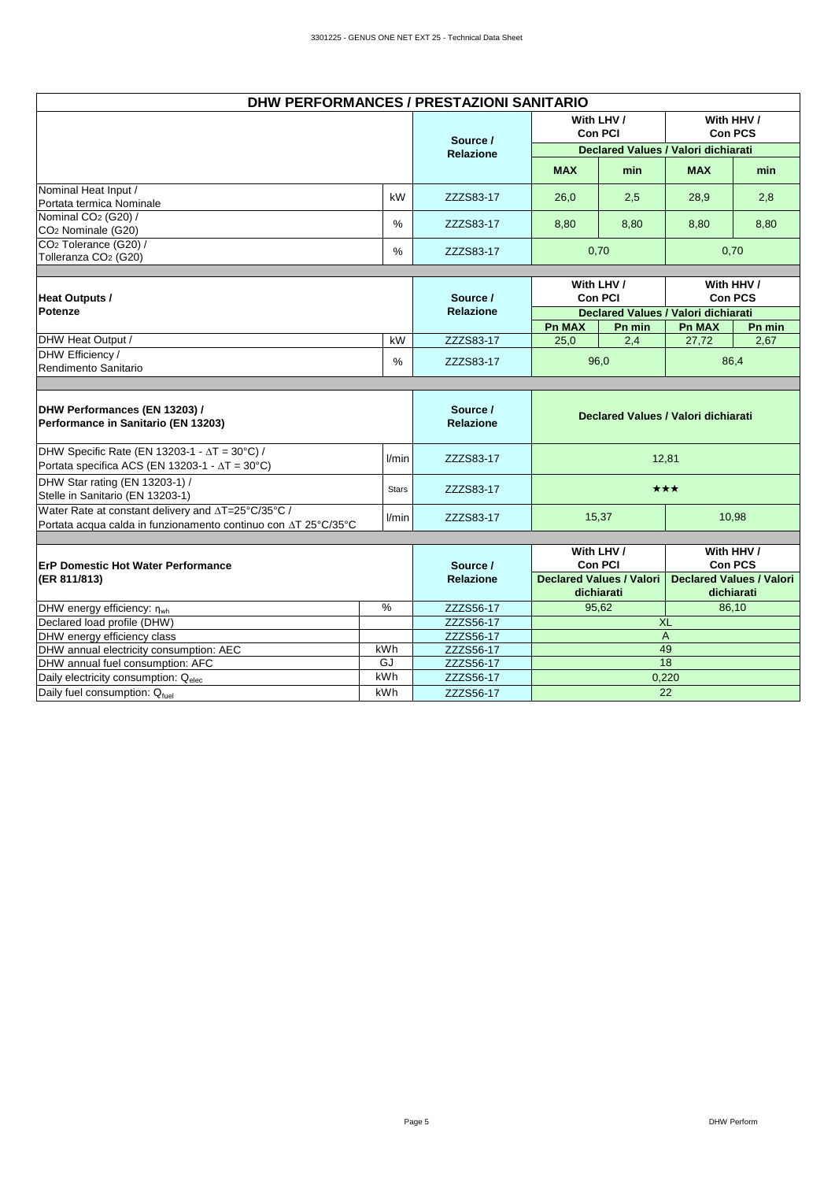| DHW PERFORMANCES / PRESTAZIONI SANITARIO                              |    |                  |            |                                     |            |                              |
|-----------------------------------------------------------------------|----|------------------|------------|-------------------------------------|------------|------------------------------|
|                                                                       |    | Source /         |            | With LHV /<br><b>Con PCI</b>        |            | With HHV /<br><b>Con PCS</b> |
|                                                                       |    | <b>Relazione</b> |            | Declared Values / Valori dichiarati |            |                              |
|                                                                       |    |                  | <b>MAX</b> | min                                 | <b>MAX</b> | min                          |
| Nominal Heat Input /<br>Portata termica Nominale                      | kW | ZZZS83-17        | 26,0       | 2,5                                 | 28,9       | 2,8                          |
| Nominal CO <sub>2</sub> (G20) /<br>CO <sub>2</sub> Nominale (G20)     | %  | ZZZS83-17        | 8,80       | 8,80                                | 8,80       | 8,80                         |
| CO <sub>2</sub> Tolerance (G20) /<br>Tolleranza CO <sub>2</sub> (G20) | %  | ZZZS83-17        |            | 0,70                                |            | 0,70                         |
|                                                                       |    |                  |            |                                     |            |                              |

| Heat Outputs /                           |    | Source /         | With LHV /<br><b>Con PCI</b> |        |                                     | With HHV /<br><b>Con PCS</b> |
|------------------------------------------|----|------------------|------------------------------|--------|-------------------------------------|------------------------------|
| Potenze                                  |    | <b>Relazione</b> |                              |        | Declared Values / Valori dichiarati |                              |
|                                          |    |                  | <b>Pn MAX</b>                | Pn min | <b>Pn MAX</b>                       | Pn min                       |
| <b>IDHW Heat Output /</b>                | kW | ZZZS83-17        | 25,0                         | 2,4    | 27.72                               | 2,67                         |
| DHW Efficiency /<br>Rendimento Sanitario | %  | ZZZS83-17        |                              | 96,0   |                                     | 86,4                         |

| DHW Performances (EN 13203) /<br>Performance in Sanitario (EN 13203)                                                           |              | Source /<br><b>Relazione</b> |                                        | Declared Values / Valori dichiarati           |
|--------------------------------------------------------------------------------------------------------------------------------|--------------|------------------------------|----------------------------------------|-----------------------------------------------|
| DHW Specific Rate (EN 13203-1 - $\Delta T = 30^{\circ}$ C) /<br>Portata specifica ACS (EN 13203-1 - $\Delta T = 30^{\circ}C$ ) | l/min        | ZZZS83-17                    |                                        | 12.81                                         |
| DHW Star rating (EN 13203-1) /<br>Stelle in Sanitario (EN 13203-1)                                                             | <b>Stars</b> | ZZZS83-17                    |                                        | ★★★                                           |
| Water Rate at constant delivery and ∆T=25°C/35°C /<br>Portata acqua calda in funzionamento continuo con AT 25°C/35°C           | l/min        | ZZZS83-17                    | 15,37                                  | 10,98                                         |
| <b>IErP Domestic Hot Water Performance</b>                                                                                     |              | Source /                     | With LHV /<br><b>Con PCI</b>           | With HHV /<br><b>Con PCS</b>                  |
| $ $ (ER 811/813)                                                                                                               |              | <b>Relazione</b>             | Declared Values / Valori<br>dichiarati | <b>Declared Values / Valori</b><br>dichiarati |
| DHW energy efficiency: $\eta_{wh}$                                                                                             | %            | ZZZS56-17                    | 95,62                                  | 86,10                                         |
| Declared load profile (DHW)                                                                                                    |              | ZZZS56-17                    |                                        | <b>XL</b>                                     |

kWh GJ kWh kWh

DHW energy efficiency class ZZZS56-17 DHW annual electricity consumption: AEC  $\qquad$  kWh ZZZS56-17 DHW annual fuel consumption: AFC ZZZS56-17 Daily electricity consumption:  $Q_{elec}$   $kWh$   $ZZZS56-17$ Daily fuel consumption: Q<sub>fuel</sub> 2ZZS56-17

A 49

18 0,220 22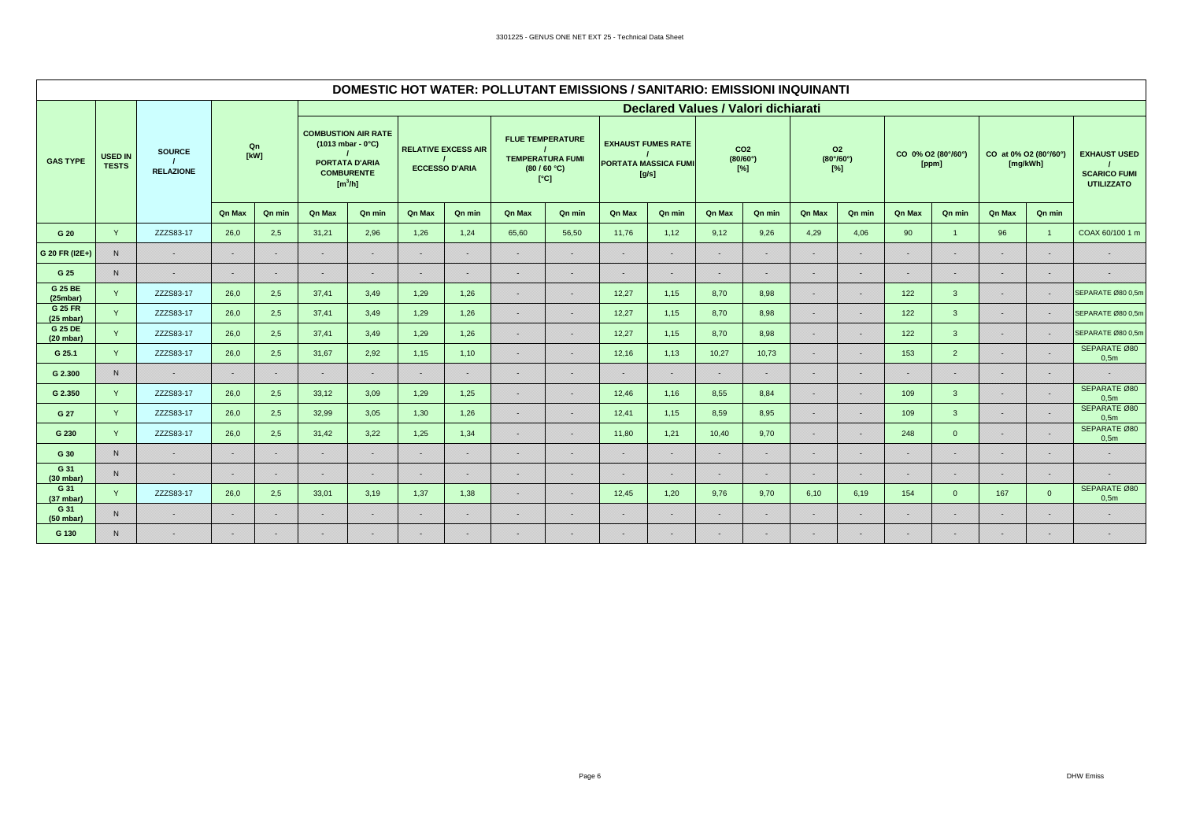|                             |                                |                                   |               |            |                                                                                                   |                   |        |                                                     | DOMESTIC HOT WATER: POLLUTANT EMISSIONS / SANITARIO: EMISSIONI INQUINANTI |        |        |                                                                   |               |                                       |               |                                           |               |                             |                                   |                |                                                                 |
|-----------------------------|--------------------------------|-----------------------------------|---------------|------------|---------------------------------------------------------------------------------------------------|-------------------|--------|-----------------------------------------------------|---------------------------------------------------------------------------|--------|--------|-------------------------------------------------------------------|---------------|---------------------------------------|---------------|-------------------------------------------|---------------|-----------------------------|-----------------------------------|----------------|-----------------------------------------------------------------|
|                             |                                |                                   |               |            |                                                                                                   |                   |        |                                                     |                                                                           |        |        | <b>Declared Values / Valori dichiarati</b>                        |               |                                       |               |                                           |               |                             |                                   |                |                                                                 |
| <b>GAS TYPE</b>             | <b>USED IN</b><br><b>TESTS</b> | <b>SOURCE</b><br><b>RELAZIONE</b> |               | Qn<br>[kW] | <b>COMBUSTION AIR RATE</b><br>$(1013 mbar - 0°C)$<br><b>PORTATA D'ARIA</b><br>[m <sup>3</sup> /h] | <b>COMBURENTE</b> |        | <b>RELATIVE EXCESS AIR</b><br><b>ECCESSO D'ARIA</b> | <b>FLUE TEMPERATURE</b><br><b>TEMPERATURA FUMI</b><br>(80/60 °C)          | [°C]   |        | <b>EXHAUST FUMES RATE</b><br><b>PORTATA MASSICA FUMI</b><br>[g/s] |               | CO <sub>2</sub><br>(80/60°)<br>$[\%]$ |               | 02<br>$(80^{\circ}/60^{\circ})$<br>$[\%]$ |               | CO 0% O2 (80°/60°)<br>[ppm] | CO at 0% O2 (80°/60°)<br>[mg/kWh] |                | <b>EXHAUST USED</b><br><b>SCARICO FUMI</b><br><b>UTILIZZATO</b> |
|                             |                                |                                   | <b>Qn Max</b> | Qn min     | <b>Qn Max</b>                                                                                     | Qn min            | Qn Max | Qn min                                              | Qn Max                                                                    | Qn min | Qn Max | Qn min                                                            | <b>Qn Max</b> | Qn min                                | <b>Qn Max</b> | Qn min                                    | <b>Qn Max</b> | Qn min                      | Qn Max                            | Qn min         |                                                                 |
| G 20                        | Y                              | ZZZS83-17                         | 26,0          | 2,5        | 31,21                                                                                             | 2,96              | 1,26   | 1,24                                                | 65,60                                                                     | 56,50  | 11,76  | 1,12                                                              | 9,12          | 9,26                                  | 4,29          | 4,06                                      | 90            | $\mathbf{1}$                | 96                                | $\overline{1}$ | COAX 60/100 1 m                                                 |
| G 20 FR (I2E+)              | N                              | 88                                | w             | 828        | 88                                                                                                | 833               | 82     | 88                                                  | w                                                                         | 888    | 88     | 88                                                                | 88            | 88                                    | 88            | 88                                        | ×             | 88                          | 828                               | 88             | 323                                                             |
| G 25                        | N                              | 88                                | 88            | 898        | 88                                                                                                | 898               | 828    | 88                                                  | 88                                                                        | 88     | 83     | 88                                                                | 88            | 88                                    | 88            | 88                                        | 88            | 88                          | 898                               | 88             | 898                                                             |
| G 25 BE<br>(25mbar)         | Y                              | ZZZS83-17                         | 26,0          | 2,5        | 37,41                                                                                             | 3,49              | 1,29   | 1,26                                                | 88                                                                        | 828    | 12,27  | 1,15                                                              | 8,70          | 8,98                                  | 82            | 828                                       | 122           | $\mathbf{3}$                | 82                                | 88             | SEPARATE Ø80 0,5m                                               |
| <b>G 25 FR</b><br>(25 mbar) | Y                              | ZZZS83-17                         | 26.0          | 2,5        | 37,41                                                                                             | 3.49              | 1,29   | 1,26                                                | 88                                                                        | 83     | 12,27  | 1.15                                                              | 8,70          | 8,98                                  | 88            | 83                                        | 122           | $\mathbf{3}$                | a.                                | a.             | SEPARATE Ø80 0,5m                                               |
| G 25 DE<br>(20 mbar)        | Y                              | ZZZS83-17                         | 26,0          | 2,5        | 37,41                                                                                             | 3,49              | 1,29   | 1,26                                                | 88                                                                        | 82     | 12,27  | 1,15                                                              | 8,70          | 8,98                                  | 88            | 82                                        | 122           | $\mathbf{3}$                | 88                                | 88             | SEPARATE Ø80 0,5m                                               |
| G 25.1                      | Y                              | ZZZS83-17                         | 26,0          | 2,5        | 31,67                                                                                             | 2,92              | 1,15   | 1,10                                                | 88                                                                        | 88     | 12,16  | 1,13                                                              | 10,27         | 10,73                                 | 88            |                                           | 153           | $\overline{2}$              | 323                               | 88             | SEPARATE Ø80<br>0,5m                                            |
| G 2.300                     | N                              |                                   | æ             | 82         | æ                                                                                                 | ×.                | æ      | 88                                                  | 88                                                                        | 88.XXX | œ      | 828                                                               | 88            | æ                                     | œ             | 82                                        | œ             | ×                           | 82                                | 88             |                                                                 |
| G 2.350                     | Y                              | ZZZS83-17                         | 26,0          | 2,5        | 33,12                                                                                             | 3,09              | 1,29   | 1,25                                                | 88                                                                        | 888    | 12,46  | 1,16                                                              | 8,55          | 8,84                                  | 88            | 88                                        | 109           | $\mathbf{3}$                | 88                                | a.             | SEPARATE Ø80<br>0,5m                                            |
| G 27                        | Y                              | ZZZS83-17                         | 26,0          | 2,5        | 32,99                                                                                             | 3,05              | 1,30   | 1,26                                                | 88                                                                        | 88     | 12,41  | 1.15                                                              | 8,59          | 8,95                                  | 88            | 82                                        | 109           | $\mathbf{3}$                | X.                                | 88             | SEPARATE Ø80<br>0,5m                                            |
| G 230                       | Y                              | ZZZS83-17                         | 26,0          | 2,5        | 31,42                                                                                             | 3,22              | 1,25   | 1,34                                                | 88                                                                        | æ      | 11,80  | 1,21                                                              | 10,40         | 9.70                                  | 82            | 82                                        | 248           | $\overline{0}$              | 88                                | 88             | SEPARATE Ø80<br>0,5m                                            |
| G 30                        | N                              | 33                                | w             | 828        | 88                                                                                                | 82                | 22     | 88                                                  | 88                                                                        |        | 526    | 88                                                                | 828           | 83                                    | 88            |                                           | SS.           | 88                          | 833                               | 88             | 838                                                             |
| G 31<br>(30 mbar)           | N                              | 82                                | 38            | 898        | 88                                                                                                | 828               | 888    | 88                                                  | æ                                                                         | 88     | 88     | 888                                                               | 8888          | 888                                   | 828           | 88                                        | 88            | 88                          | 898                               | 88             |                                                                 |
| G 31<br>(37 mbar)           | Y                              | ZZZS83-17                         | 26,0          | 2,5        | 33,01                                                                                             | 3,19              | 1,37   | 1,38                                                | 88                                                                        | 828    | 12,45  | 1,20                                                              | 9,76          | 9,70                                  | 6,10          | 6,19                                      | 154           | $\overline{0}$              | 167                               | $\mathbf{0}$   | SEPARATE Ø80<br>0,5m                                            |
| G 31<br>(50 mbar)           | N                              | 88                                | w             | 828        | 88                                                                                                | 8828              | 828    | 88                                                  | æ                                                                         | 82     | 88     | 828                                                               | w             | 88                                    | m.            | 88                                        | 88            | 88                          | 88                                | 88             | 888                                                             |
| G 130                       | N                              | 33                                | 88            | 828        | 89 S                                                                                              | 89                |        | 83                                                  | 828                                                                       | 82     | 526    | 82                                                                | 828           | 828                                   | 82            |                                           | ×             |                             |                                   | 828            |                                                                 |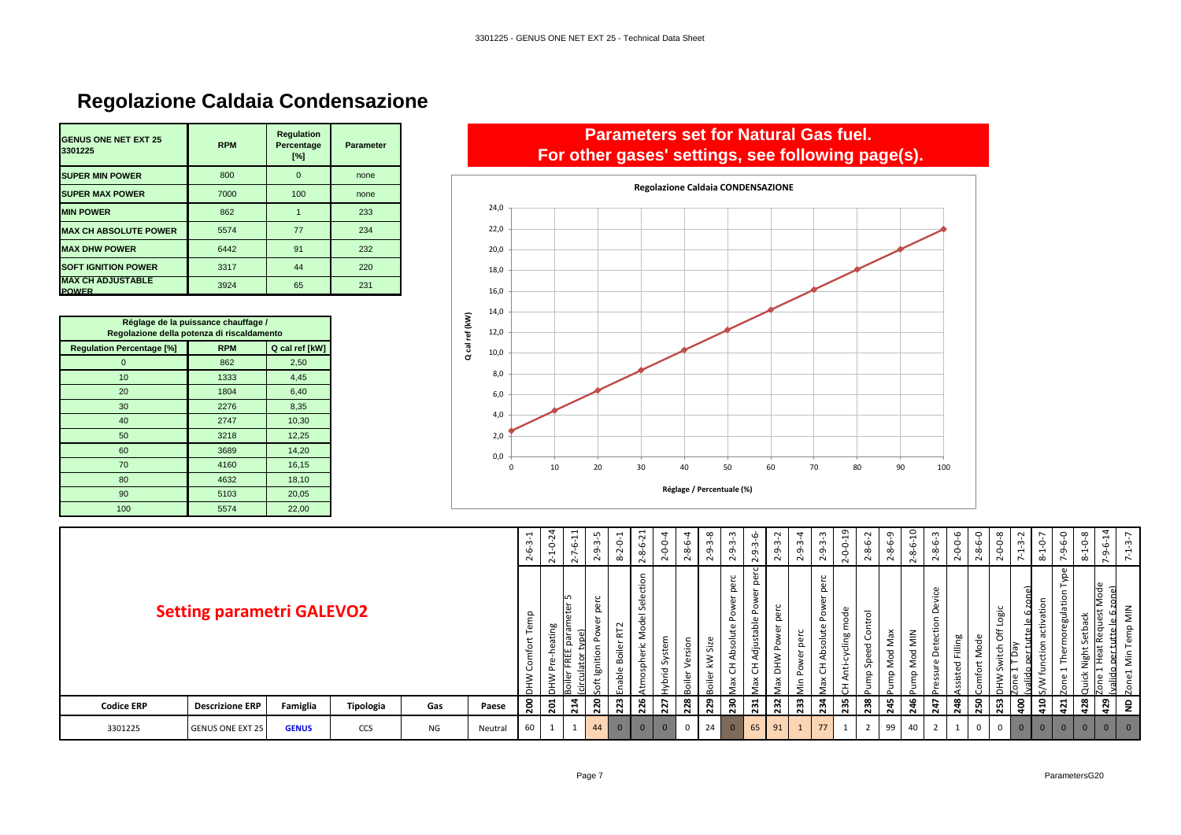# **Regolazione Caldaia Condensazione**

| <b>GENUS ONE NET EXT 25</b><br>3301225   | <b>RPM</b> | <b>Regulation</b><br>Percentage<br>[%] | <b>Parameter</b> |
|------------------------------------------|------------|----------------------------------------|------------------|
| <b>SUPER MIN POWER</b>                   | 800        | $\Omega$                               | none             |
| <b>SUPER MAX POWER</b>                   | 7000       | 100                                    | none             |
| <b>MIN POWER</b>                         | 862        |                                        | 233              |
| <b>MAX CH ABSOLUTE POWER</b>             | 5574       | 77                                     | 234              |
| <b>MAX DHW POWER</b>                     | 6442       | 91                                     | 232              |
| <b>SOFT IGNITION POWER</b>               | 3317       | 44                                     | 220              |
| <b>MAX CH ADJUSTABLE</b><br><b>POWER</b> | 3924       | 65                                     | 231              |

| Réglage de la puissance chauffage /<br>Regolazione della potenza di riscaldamento |            |                |  |  |  |  |  |  |  |  |  |
|-----------------------------------------------------------------------------------|------------|----------------|--|--|--|--|--|--|--|--|--|
| <b>Regulation Percentage [%]</b>                                                  | <b>RPM</b> | Q cal ref [kW] |  |  |  |  |  |  |  |  |  |
| $\overline{0}$                                                                    | 862        | 2,50           |  |  |  |  |  |  |  |  |  |
| 10                                                                                | 1333       | 4,45           |  |  |  |  |  |  |  |  |  |
| 20                                                                                | 1804       | 6,40           |  |  |  |  |  |  |  |  |  |
| 30                                                                                | 2276       | 8,35           |  |  |  |  |  |  |  |  |  |
| 40                                                                                | 2747       | 10,30          |  |  |  |  |  |  |  |  |  |
| 50                                                                                | 3218       | 12,25          |  |  |  |  |  |  |  |  |  |
| 60                                                                                | 3689       | 14,20          |  |  |  |  |  |  |  |  |  |
| 70                                                                                | 4160       | 16,15          |  |  |  |  |  |  |  |  |  |
| 80                                                                                | 4632       | 18,10          |  |  |  |  |  |  |  |  |  |
| 90                                                                                | 5103       | 20,05          |  |  |  |  |  |  |  |  |  |
| 100                                                                               | 5574       | 22,00          |  |  |  |  |  |  |  |  |  |

### **Parameters set for Natural Gas fuel. For other gases' settings, see following page(s).**



|                   |                                  |              |           |     |         | ٢<br>١Ò<br>$\sim$             | $\tilde{N}$<br>$\circ$<br>$\mathbf{\mathbf{t}}$<br>$\sim$ | 吕<br>$\circ$<br>$\overline{ }$<br>$\sim$ | び<br>ന<br>ᠪ<br>$\sim$          | $\overline{\phantom{0}}$<br>0<br>$\sim$<br>$\infty$ | ನ<br>$\ddot{\varphi}$<br>$\infty$<br>$\sim$                           | $-0-0-4$<br>$\sim$ | $\overline{a}$<br>Ó<br>∞<br>$\sim$ | $3-8$<br>Ġ<br>$\sim$          | ന<br>ᡡ<br>$\sim$                                                       | G<br>ന്<br>Ō<br>Ņ                                                                      | $\sim$<br>$\dot{m}$<br>ᡡ<br>$\sim$ | 4<br>က္ပ်<br>ᡩ<br>$\sim$        | ്റ<br>ᡡ<br>$\sim$                           | $0 - 0 - 19$<br>$\sim$                     | $6-2$<br>ထုံ<br>$\sim$     | $\sigma$<br>ن<br>∞<br>$\sim$ | å<br>$\circ$<br>$\infty$<br>$\sim$ | ە<br>œ<br>$\sim$                                                                                    | $\circ$<br>ó<br>Ó<br>$\dot{\sim}$ | $\circ$<br>ه<br>∞<br>$\sim$ | $\infty$<br>ó<br>$\circ$<br>$\sim$ | ന<br>$\overline{\phantom{0}}$<br>$\overline{ }$ | $\circ$<br>$\overline{\phantom{0}}$<br>$\infty$ | 0<br>$\circ$<br>Ó<br>$\ddot{\phantom{1}}$                                                                                 | $0-8$<br>$\overline{ }$<br>$\infty$ | $\sharp$<br>ه<br>$\sigma$                | $3 - 7$<br>$\overline{ }$<br>$\ddot{\phantom{1}}$ |
|-------------------|----------------------------------|--------------|-----------|-----|---------|-------------------------------|-----------------------------------------------------------|------------------------------------------|--------------------------------|-----------------------------------------------------|-----------------------------------------------------------------------|--------------------|------------------------------------|-------------------------------|------------------------------------------------------------------------|----------------------------------------------------------------------------------------|------------------------------------|---------------------------------|---------------------------------------------|--------------------------------------------|----------------------------|------------------------------|------------------------------------|-----------------------------------------------------------------------------------------------------|-----------------------------------|-----------------------------|------------------------------------|-------------------------------------------------|-------------------------------------------------|---------------------------------------------------------------------------------------------------------------------------|-------------------------------------|------------------------------------------|---------------------------------------------------|
|                   | <b>Setting parametri GALEVO2</b> |              |           |     |         | ۴P<br>ڡٟ<br>mfo<br><b>NHV</b> | Ρã<br>Φ<br>ത<br>⋛<br>≭                                    | LO.<br>ω<br>١₩<br>⊫                      | g<br>₽<br>≔<br>ၜႍ<br>$\ddot{}$ | $\sim$<br>군<br>Boile<br>nable                       | ction<br>Sele<br>$\overline{\mathbb{\omega}}$<br>ರ<br>2<br>tmospheric | System<br>lybrid:  | sion<br>ዶ<br>oiler                 | $\omega$<br>Siz<br>Š<br>oiler | $\circ$<br>∼<br><b>a</b><br>∘<br>┶<br>௨<br>원<br>Þ<br>ā<br>P<br>3<br>λă | $\sim$<br>ā<br>Ō.<br>$\mathbf{a}$<br>š<br>$\Delta$<br>djustable<br>$\overline{c}$<br>ă | Φ<br>$\circ$<br>≩<br>ᄒ<br>ă        | perc<br>ā<br>Pow<br>$\tilde{=}$ | perc<br>┶<br>Power<br>bsolute<br>⋖<br>ax CH | mode<br>cycling<br>Anti-<br>$\overline{ }$ | iontrol<br>Speed C<br>gunn | Max<br>ರ<br>Š<br>ę           | MIN<br>ರ<br>ءِ<br>⋍<br>Ê           | vice<br>$\mathbf{a}$<br>$\Omega$<br>$\circ$<br>₽<br>ت<br>ூ<br><b>ات</b><br>$\Box$<br>ဨ<br>ssu<br>a. | Filling<br>sisted                 | ഄ<br>Nod<br>mfo             | Logic<br>₹<br>vitch<br>$\geq$      | γεd<br>id<br>lone                               | atio<br>ŧ<br>ത<br>tion<br>⊂<br>w fu             | $\omega$<br>š<br>⊢<br>٠ê<br>egula <sup>-</sup><br>$\circ$<br>≐<br>$\overline{\phantom{0}}$<br>$\mathbf \omega$<br>$\circ$ | ပ<br>욥<br>↵<br>igh:<br>ě<br>Ξ       | Mode<br>ى<br>ā<br>$\sigma$<br>₽<br>valid | $\overline{\mathsf{M}}$<br>ę<br>₽<br>δiη<br>Zone1 |
| <b>Codice ERP</b> | <b>Descrizione ERP</b>           | Famiglia     | Tipologia | Gas | Paese   | $\frac{8}{2}$                 | $\overline{201}$                                          | 214                                      | 220                            | 223                                                 | 226                                                                   | 227                | 228                                | 229                           | 230                                                                    | 231                                                                                    | 232                                | 233                             | 234                                         | 235                                        | 238                        | 245                          | 246                                | 247                                                                                                 | 248                               | 250                         | 253                                | å                                               | $\frac{1}{2}$                                   | 421                                                                                                                       | 428                                 | 429                                      | $\mathsf{P}$                                      |
| 3301225           | <b>GENUS ONE EXT 25</b>          | <b>GENUS</b> | CCS       | ΝG  | Neutral | 60                            |                                                           | - 1                                      | 44                             | $\overline{0}$                                      | $\mathbf{0}$                                                          | $\mathbf{0}$       | $\mathbf 0$                        | 24                            | $\overline{0}$                                                         | 65                                                                                     | 91                                 | $\mathbf{1}$                    | 77                                          | $\mathbf{1}$                               | $\overline{2}$             | 99                           | 40                                 | $\overline{2}$                                                                                      |                                   |                             | 0                                  | $\mathbf{0}$                                    | $\Omega$                                        | $\mathbf{0}$                                                                                                              | $\overline{0}$                      | $\overline{0}$                           | $\overline{0}$                                    |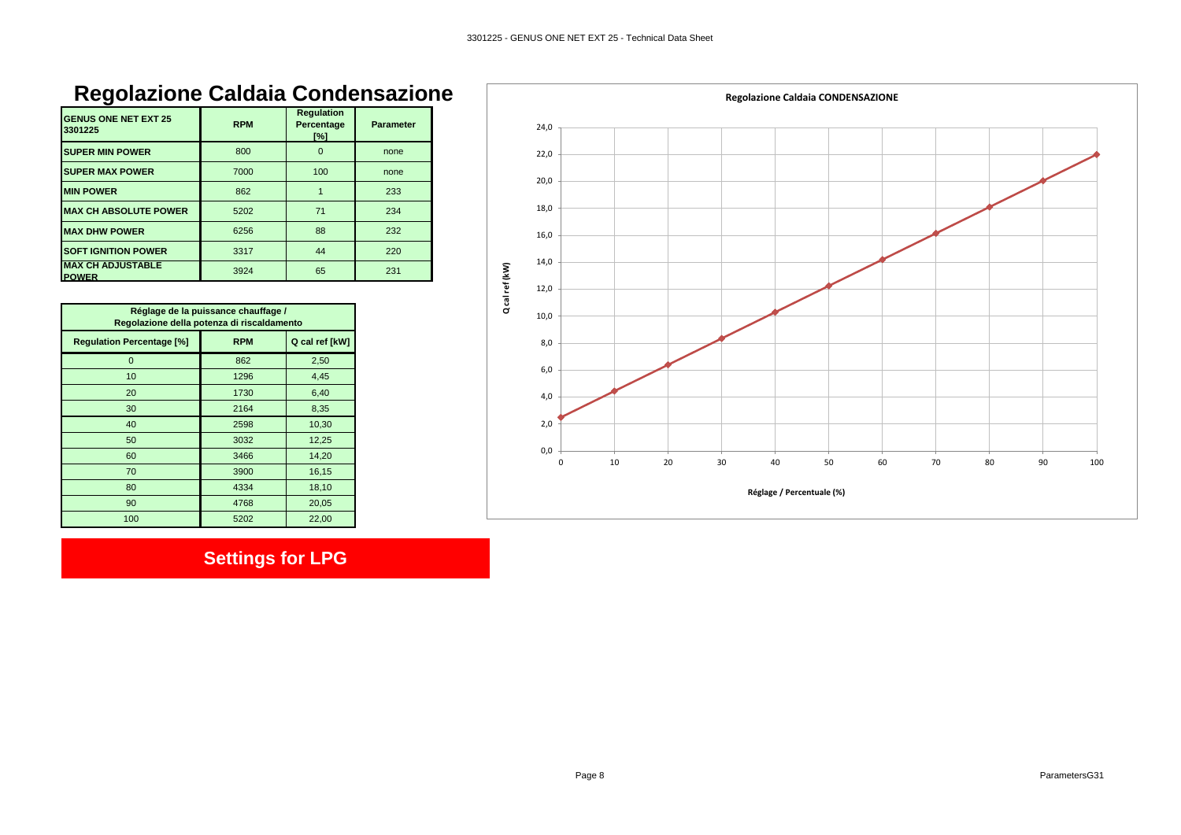# **Regolazione Caldaia Condensazione**

| <b>GENUS ONE NET EXT 25</b><br>3301225   | <b>RPM</b> | <b>Regulation</b><br>Percentage<br>[%] | <b>Parameter</b> |
|------------------------------------------|------------|----------------------------------------|------------------|
| <b>SUPER MIN POWER</b>                   | 800        | O                                      | none             |
| <b>SUPER MAX POWER</b>                   | 7000       | 100                                    | none             |
| <b>MIN POWER</b>                         | 862        |                                        | 233              |
| <b>MAX CH ABSOLUTE POWER</b>             | 5202       | 71                                     | 234              |
| <b>MAX DHW POWER</b>                     | 6256       | 88                                     | 232              |
| <b>SOFT IGNITION POWER</b>               | 3317       | 44                                     | 220              |
| <b>MAX CH ADJUSTABLE</b><br><b>POWER</b> | 3924       | 65                                     | 231              |

| Réglage de la puissance chauffage /<br>Regolazione della potenza di riscaldamento |            |                |  |  |  |  |
|-----------------------------------------------------------------------------------|------------|----------------|--|--|--|--|
| <b>Regulation Percentage [%]</b>                                                  | <b>RPM</b> | Q cal ref [kW] |  |  |  |  |
| 0                                                                                 | 862        | 2,50           |  |  |  |  |
| 10                                                                                | 1296       | 4,45           |  |  |  |  |
| 20                                                                                | 1730       | 6,40           |  |  |  |  |
| 30                                                                                | 2164       | 8,35           |  |  |  |  |
| 40                                                                                | 2598       | 10,30          |  |  |  |  |
| 50                                                                                | 3032       | 12,25          |  |  |  |  |
| 60                                                                                | 3466       | 14,20          |  |  |  |  |
| 70                                                                                | 3900       | 16,15          |  |  |  |  |
| 80                                                                                | 4334       | 18,10          |  |  |  |  |
| 90                                                                                | 4768       | 20,05          |  |  |  |  |
| 100                                                                               | 5202       | 22,00          |  |  |  |  |

# **Settings for LPG**

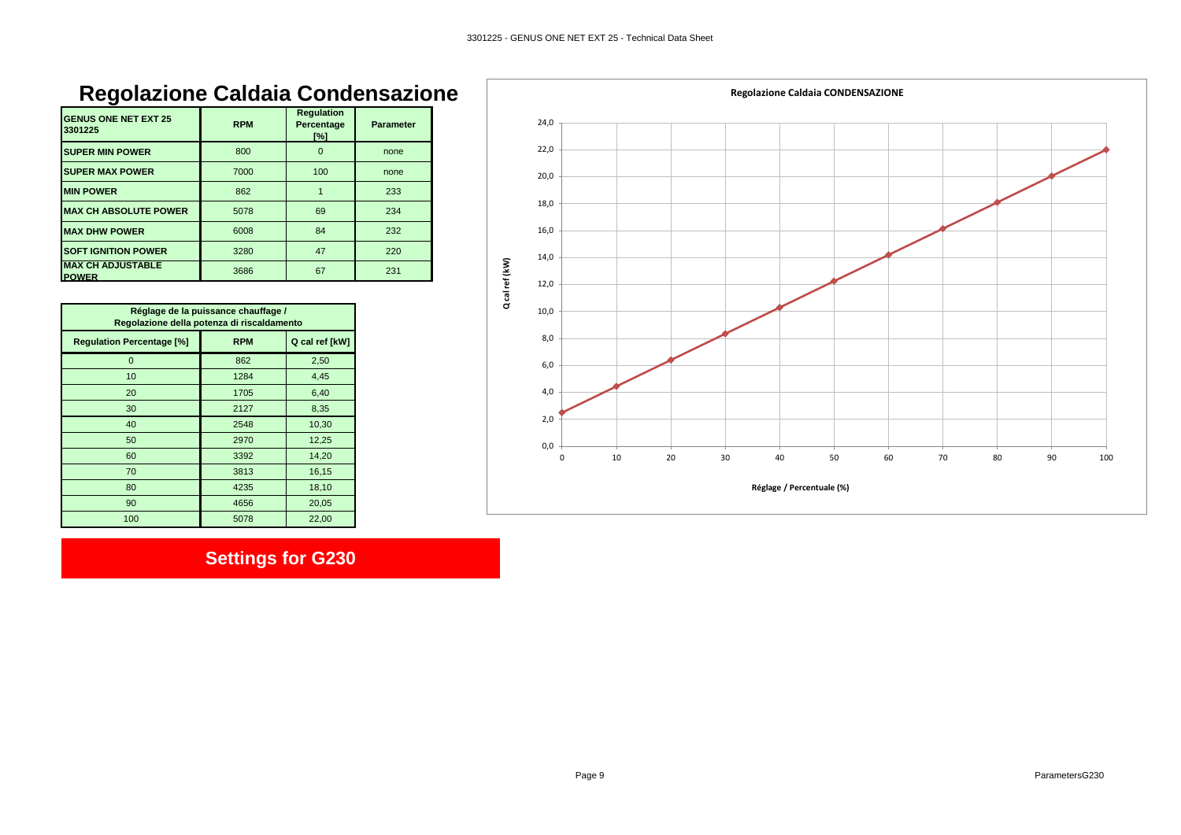# **Regolazione Caldaia Condensazione**

| <b>GENUS ONE NET EXT 25</b><br>3301225   | <b>RPM</b> | <b>Regulation</b><br>Percentage<br>$\lceil\% \rceil$ | <b>Parameter</b> |
|------------------------------------------|------------|------------------------------------------------------|------------------|
| <b>SUPER MIN POWER</b>                   | 800        | $\Omega$                                             | none             |
| <b>SUPER MAX POWER</b>                   | 7000       | 100                                                  | none             |
| <b>MIN POWER</b>                         | 862        |                                                      | 233              |
| <b>MAX CH ABSOLUTE POWER</b>             | 5078       | 69                                                   | 234              |
| <b>MAX DHW POWER</b>                     | 6008       | 84                                                   | 232              |
| <b>SOFT IGNITION POWER</b>               | 3280       | 47                                                   | 220              |
| <b>MAX CH ADJUSTABLE</b><br><b>POWER</b> | 3686       | 67                                                   | 231              |

| Réglage de la puissance chauffage /<br>Regolazione della potenza di riscaldamento |            |                |  |  |  |  |
|-----------------------------------------------------------------------------------|------------|----------------|--|--|--|--|
| <b>Regulation Percentage [%]</b>                                                  | <b>RPM</b> | Q cal ref [kW] |  |  |  |  |
| 0                                                                                 | 862        | 2,50           |  |  |  |  |
| 10                                                                                | 1284       | 4,45           |  |  |  |  |
| 20                                                                                | 1705       | 6,40           |  |  |  |  |
| 30                                                                                | 2127       | 8,35           |  |  |  |  |
| 40                                                                                | 2548       | 10,30          |  |  |  |  |
| 50                                                                                | 2970       | 12,25          |  |  |  |  |
| 60                                                                                | 3392       | 14,20          |  |  |  |  |
| 70                                                                                | 3813       | 16,15          |  |  |  |  |
| 80                                                                                | 4235       | 18,10          |  |  |  |  |
| 90                                                                                | 4656       | 20,05          |  |  |  |  |
| 100                                                                               | 5078       | 22,00          |  |  |  |  |

# **Settings for G230**

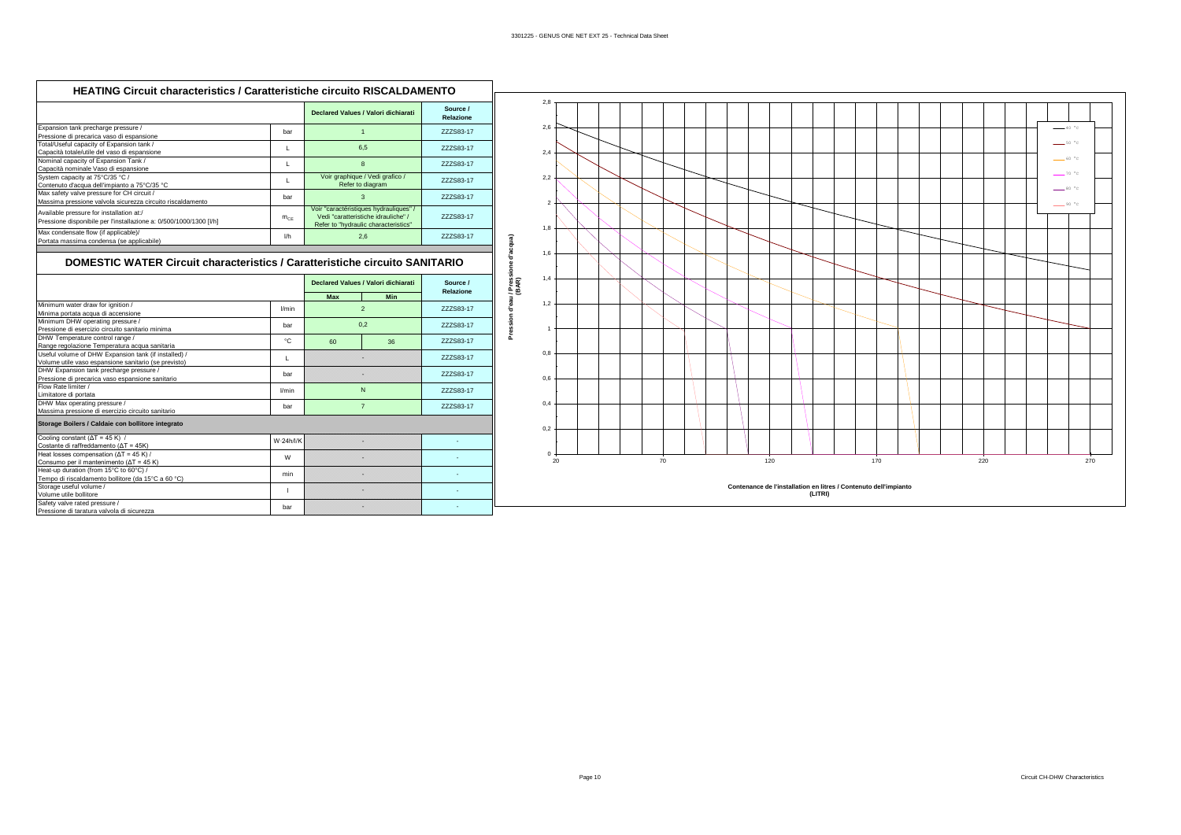| Expansion tank precharge pressure /<br>777S83-17<br>har<br>Pressione di precarica vaso di espansione<br>Total/Useful capacity of Expansion tank /<br>6.5<br>ZZZS83-17<br>L<br>Capacità totale/utile del vaso di espansione<br>Nominal capacity of Expansion Tank /<br>8<br>777S83-17<br>L<br>Capacità nominale Vaso di espansione |
|-----------------------------------------------------------------------------------------------------------------------------------------------------------------------------------------------------------------------------------------------------------------------------------------------------------------------------------|
|                                                                                                                                                                                                                                                                                                                                   |
|                                                                                                                                                                                                                                                                                                                                   |
|                                                                                                                                                                                                                                                                                                                                   |
| Voir graphique / Vedi grafico /<br>System capacity at 75°C/35 °C /<br>L.<br>ZZZS83-17<br>Refer to diagram<br>Contenuto d'acqua dell'impianto a 75°C/35 °C                                                                                                                                                                         |
| Max safety valve pressure for CH circuit /<br>3<br>ZZZS83-17<br>har<br>Massima pressione valvola sicurezza circuito riscaldamento                                                                                                                                                                                                 |
| Voir "caractéristiques hydrauliques" /<br>Available pressure for installation at:/<br>Vedi "caratteristiche idrauliche" /<br>777S83-17<br>$m_{CF}$<br>Pressione disponibile per l'installazione a: 0/500/1000/1300 [I/h]<br>Refer to "hydraulic characteristics"                                                                  |
| Max condensate flow (if applicable)/<br>2,6<br>ZZZS83-17<br>I/h<br>Portata massima condensa (se applicabile)                                                                                                                                                                                                                      |

#### **DOMESTIC WATER Circuit characteristics / Caratteristiche circuito SANITARIO**

|                                                      |           | Declared Values / Valori dichiarati |                | Source /<br>Relazione |  |
|------------------------------------------------------|-----------|-------------------------------------|----------------|-----------------------|--|
|                                                      |           | Max                                 | <b>Min</b>     |                       |  |
| Minimum water draw for ignition /                    | l/min     |                                     | $\mathfrak{p}$ | 777S83-17             |  |
| Minima portata acqua di accensione                   |           |                                     |                |                       |  |
| Minimum DHW operating pressure /                     | har       |                                     | 0.2            | 777S83-17             |  |
| Pressione di esercizio circuito sanitario minima     |           |                                     |                |                       |  |
| DHW Temperature control range /                      | °C        | 60                                  | 36             | 777S83-17             |  |
| Range regolazione Temperatura acqua sanitaria        |           |                                     |                |                       |  |
| Useful volume of DHW Expansion tank (if installed) / | L         |                                     |                | 777S83-17             |  |
| Volume utile vaso espansione sanitario (se previsto) |           |                                     |                |                       |  |
| DHW Expansion tank precharge pressure /              | har       |                                     |                | 777S83-17             |  |
| Pressione di precarica vaso espansione sanitario     |           |                                     |                |                       |  |
| Flow Rate limiter /                                  | l/min     |                                     | N              | 777S83-17             |  |
| Limitatore di portata                                |           |                                     |                |                       |  |
| DHW Max operating pressure /                         | bar       | $\overline{7}$                      |                | ZZZS83-17             |  |
| Massima pressione di esercizio circuito sanitario    |           |                                     |                |                       |  |
| Storage Boilers / Caldaie con bollitore integrato    |           |                                     |                |                       |  |
| Cooling constant ( $\Delta T = 45$ K) /              | W-24h/l/K |                                     |                |                       |  |
| Costante di raffreddamento ( $\Delta T = 45K$ )      |           |                                     |                |                       |  |
| Heat losses compensation ( $\Delta T = 45$ K) /      | W         |                                     |                |                       |  |
| Consumo per il mantenimento ( $\Delta T = 45$ K)     |           |                                     |                |                       |  |
| Heat-up duration (from 15°C to 60°C) /               | min       |                                     | ×              |                       |  |
| Tempo di riscaldamento bollitore (da 15°C a 60 °C)   |           |                                     |                |                       |  |
| Storage useful volume /                              |           |                                     |                |                       |  |
| Volume utile bollitore                               |           |                                     |                |                       |  |
| Safety valve rated pressure /                        | bar       |                                     |                |                       |  |
| Pressione di taratura valvola di sicurezza           |           |                                     |                |                       |  |

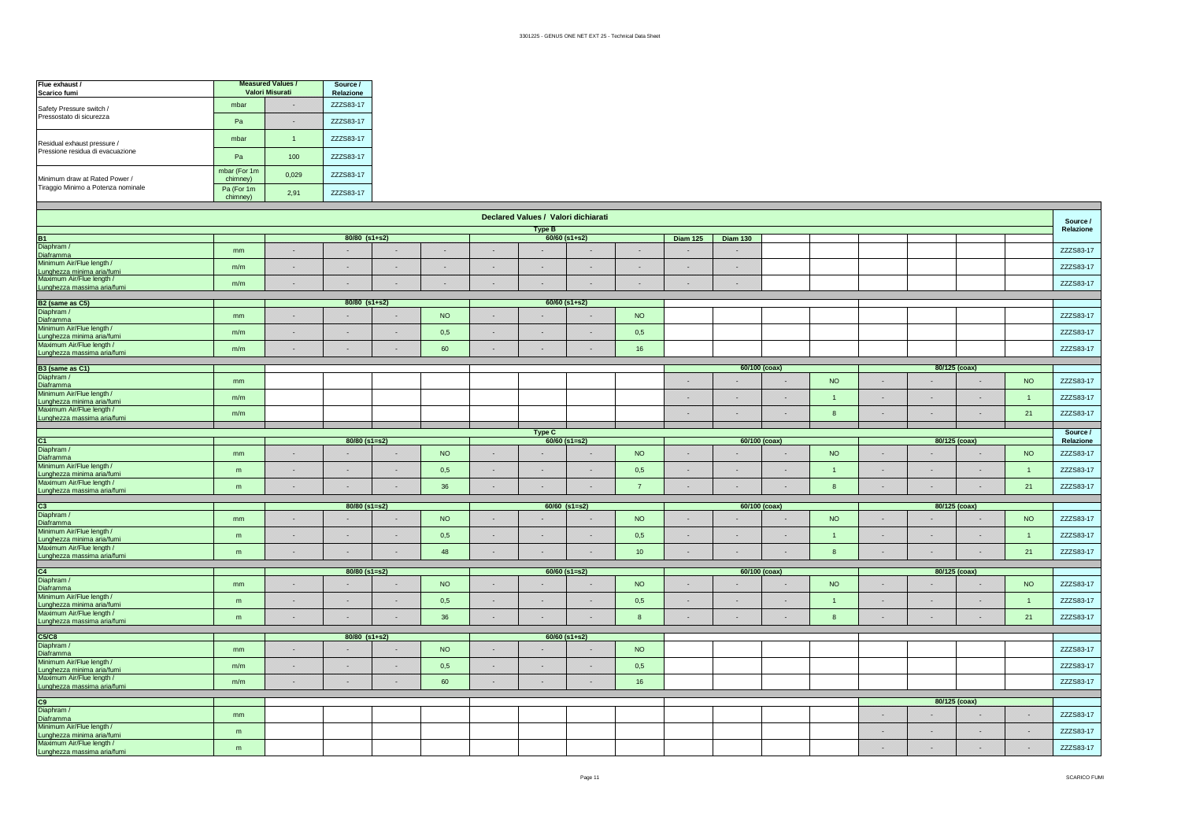| Flue exhaust /<br>Scarico fumi     | <b>Measured Values /</b><br>Valori Misurati | Source /<br>Relazione |           |
|------------------------------------|---------------------------------------------|-----------------------|-----------|
| Safety Pressure switch /           | mbar                                        |                       | ZZZS83-17 |
| Pressostato di sicurezza           | Pa                                          |                       | ZZZS83-17 |
| Residual exhaust pressure /        | mbar                                        |                       | ZZZS83-17 |
| Pressione residua di evacuazione   | Pa                                          | 100                   | ZZZS83-17 |
| Minimum draw at Rated Power /      | mbar (For 1m<br>chimney)                    | 0.029                 | ZZZS83-17 |
| Tiraggio Minimo a Potenza nominale | Pa (For 1m)<br>chimney)                     | 2.91                  | ZZZS83-17 |

| Declared Values / Valori dichiarati                                                    |                |     |                 |    |           |     |               |                 | Source /         |                 |                 |    |                |     |    |               |                |           |
|----------------------------------------------------------------------------------------|----------------|-----|-----------------|----|-----------|-----|---------------|-----------------|------------------|-----------------|-----------------|----|----------------|-----|----|---------------|----------------|-----------|
|                                                                                        |                |     |                 |    |           |     | <b>Type B</b> |                 |                  |                 |                 |    |                |     |    |               |                | Relazione |
| <b>B1</b>                                                                              |                |     | $80/80$ (s1+s2) |    |           |     |               | $60/60$ (s1+s2) |                  | <b>Diam 125</b> | <b>Diam 130</b> |    |                |     |    |               |                |           |
| Diaphram /<br>Diaframma                                                                | mm             | ×   |                 | ×  |           | 8   |               |                 | 88               |                 | 88              |    |                |     |    |               |                | ZZZS83-17 |
| Minimum Air/Flue length /<br>Lunghezza minima aria/fumi                                | m/m            | 88  |                 | 88 |           | 獜   |               |                 | ×                |                 | œ               |    |                |     |    |               |                | ZZZS83-17 |
| Maximum Air/Flue length /<br>Lunghezza massima aria/fumi                               | m/m            | 88  | 88              | 88 | 88        | 88  | 백             | 88              | ▩                | æ               | 88              |    |                |     |    |               |                | ZZZS83-17 |
| B <sub>2</sub> (same as C <sub>5</sub> )                                               |                |     | 80/80 (s1+s2)   |    |           |     |               | $60/60$ (s1+s2) |                  |                 |                 |    |                |     |    |               |                |           |
| Diaphram /                                                                             |                |     |                 |    |           |     |               |                 |                  |                 |                 |    |                |     |    |               |                |           |
| Diaframma<br>Minimum Air/Flue length /                                                 | mm             | 88  |                 | 83 | <b>NO</b> | 88  |               |                 | <b>NO</b>        |                 |                 |    |                |     |    |               |                | ZZZS83-17 |
| Lunghezza minima aria/fumi                                                             | m/m            | 888 | 82              | 88 | 0,5       | 888 | 88            | 82              | 0,5              |                 |                 |    |                |     |    |               |                | ZZZS83-17 |
| Maximum Air/Flue length /                                                              | m/m            | 88  |                 | 쪽  | 60        | 88  | œ             |                 | 16               |                 |                 |    |                |     |    |               |                | ZZZS83-17 |
| Lunghezza massima aria/fumi                                                            |                |     |                 |    |           |     |               |                 |                  |                 |                 |    |                |     |    |               |                |           |
| B <sub>3</sub> (same as C <sub>1</sub> )                                               |                |     |                 |    |           |     |               |                 |                  |                 | 60/100 (coax)   |    |                |     |    | 80/125 (coax) |                |           |
| Diaphram /<br>Diaframma                                                                | m <sub>m</sub> |     |                 |    |           |     |               |                 |                  |                 |                 |    | NO             |     |    |               | <b>NO</b>      | ZZZS83-17 |
| Minimum Air/Flue length /<br>Lunghezza minima aria/fumi                                | m/m            |     |                 |    |           |     |               |                 |                  |                 | 88              | 8  |                | ×   | ×  |               | $\overline{1}$ | ZZZS83-17 |
| Maximum Air/Flue length /<br>Lunghezza massima aria/fumi                               | m/m            |     |                 |    |           |     |               |                 |                  |                 | 88              | 88 | $\mathbf{R}$   | 88  | 88 | 83            | 21             | ZZZS83-17 |
|                                                                                        |                |     |                 |    |           |     | Type C        |                 |                  |                 |                 |    |                |     |    |               |                | Source /  |
|                                                                                        |                |     | $80/80$ (s1=s2) |    |           |     |               | $60/60$ (s1=s2) |                  |                 | 60/100 (coax)   |    |                |     |    | 80/125 (coax) |                | Relazione |
| C1<br>Diaphram /<br>Diaframma                                                          | mm             | 88  |                 | ×  | <b>NO</b> | 88  |               |                 | <b>NO</b>        | 83              |                 |    | <b>NO</b>      | 838 |    |               | <b>NO</b>      | ZZZS83-17 |
| Minimum Air/Flue length /<br>Lunghezza minima aria/fumi                                | m              | 88  | 82              | 88 | 0,5       | æ   | 88            | 828             | 0,5              | 82              | 88              | 8  | $\overline{1}$ | 828 | 88 | 88            | $\overline{1}$ | ZZZS83-17 |
| Maximum Air/Flue length /                                                              | m              | 88  | 82              | 88 | 36        | w   | и             |                 | $\overline{7}$   | œ               | 88              | 88 | $\mathbf{8}$   | m   | 33 | 838           | 21             | ZZZS83-17 |
| Lunghezza massima aria/fumi                                                            |                |     |                 |    |           |     |               |                 |                  |                 |                 |    |                |     |    |               |                |           |
| C3<br>Diaphram /                                                                       |                |     | $80/80$ (s1=s2) |    |           |     |               | $60/60$ (s1=s2) |                  |                 | 60/100 (coax)   |    |                |     |    | 80/125 (coax) |                |           |
|                                                                                        | mm             | B   |                 | 88 | <b>NO</b> | x   |               |                 | <b>NO</b>        | æ               |                 | 적  | <b>NO</b>      | 32  |    |               | <b>NO</b>      | ZZZS83-17 |
| Diaframma<br>Minimum Air/Flue length /<br>Lunghezza minima aria/fumi                   | m              | x   |                 | 8  | 0,5       | 88  |               |                 | 0,5              |                 | 88              | 읞  | $\overline{1}$ | 瀉   |    |               | $\overline{1}$ | ZZZS83-17 |
| Maximum Air/Flue length /<br>Lunghezza massima aria/fumi                               | m              | 88  | 82              | 88 | 48        | 88  | 88            |                 | 10 <sup>°</sup>  | 88              | 828             | 8  | $\mathbf{8}$   | 88  | 88 | 3233          | 21             | ZZZS83-17 |
|                                                                                        |                |     |                 |    |           |     |               |                 |                  |                 |                 |    |                |     |    |               |                |           |
| C4<br>Diaphram /                                                                       |                |     | 80/80 (s1=s2)   |    |           |     |               | $60/60$ (s1=s2) |                  |                 | 60/100 (coax)   |    |                |     |    | 80/125 (coax) |                |           |
| Diaframma<br>Minimum Air/Flue length /                                                 | mm             | 33  |                 | 83 | <b>NO</b> | æ   |               |                 | <b>NO</b>        | 88              |                 | 鬻  | <b>NO</b>      | 33  |    |               | <b>NO</b>      | ZZZS83-17 |
| Lunghezza minima aria/fumi                                                             | m              | 88  |                 | 88 | 0,5       | 88  |               |                 | 0,5              |                 | 88              | ×  | $\overline{1}$ | œ   |    | æ             | $\overline{1}$ | ZZZS83-17 |
| Maximum Air/Flue length /<br>Lunghezza massima aria/fumi                               | m              | 88  | 88              | x  | 36        | 88  | 巖             | 828             | $\boldsymbol{8}$ | 828             | 83              | 88 | 8              | 88  | 33 | 828           | 21             | ZZZS83-17 |
|                                                                                        |                |     |                 |    |           |     |               |                 |                  |                 |                 |    |                |     |    |               |                |           |
| C5/C8<br>Diaphram /                                                                    |                |     | 80/80 (s1+s2)   |    |           |     |               | 60/60 (s1+s2)   |                  |                 |                 |    |                |     |    |               |                |           |
| <b>Diaframma</b>                                                                       | mm             | ×   |                 | 88 | <b>NO</b> | 88  |               | 3223            | <b>NO</b>        |                 |                 |    |                |     |    |               |                | ZZZS83-17 |
| Minimum Air/Flue length /                                                              | m/m            | 88  | 828             | 88 | 0,5       | 898 | 88            | 828             | 0,5              |                 |                 |    |                |     |    |               |                | ZZZS83-17 |
| Lunghezza minima aria/fumi<br>Maximum Air/Flue length /<br>Lunghezza massima aria/fumi | m/m            | X.  | 88              | 93 | 60        | 88  | 웧             |                 | 16               |                 |                 |    |                |     |    |               |                | ZZZS83-17 |
|                                                                                        |                |     |                 |    |           |     |               |                 |                  |                 |                 |    |                |     |    |               |                |           |
| C9<br>Diaphram /                                                                       |                |     |                 |    |           |     |               |                 |                  |                 |                 |    |                |     |    | 80/125 (coax) |                |           |
| Diaframma                                                                              | mm             |     |                 |    |           |     |               |                 |                  |                 |                 |    |                | œ   |    | 3223          | 88             | ZZZS83-17 |
| Minimum Air/Flue length /<br>Lunghezza minima aria/fum                                 | m              |     |                 |    |           |     |               |                 |                  |                 |                 |    |                | ×   |    |               | ×              | ZZZS83-17 |
| Maximum Air/Flue length /<br>Lunghezza massima aria/fumi                               | m              |     |                 |    |           |     |               |                 |                  |                 |                 |    |                | œ   | 22 | 3233          | ×              | ZZZS83-17 |

 $\overline{\phantom{0}}$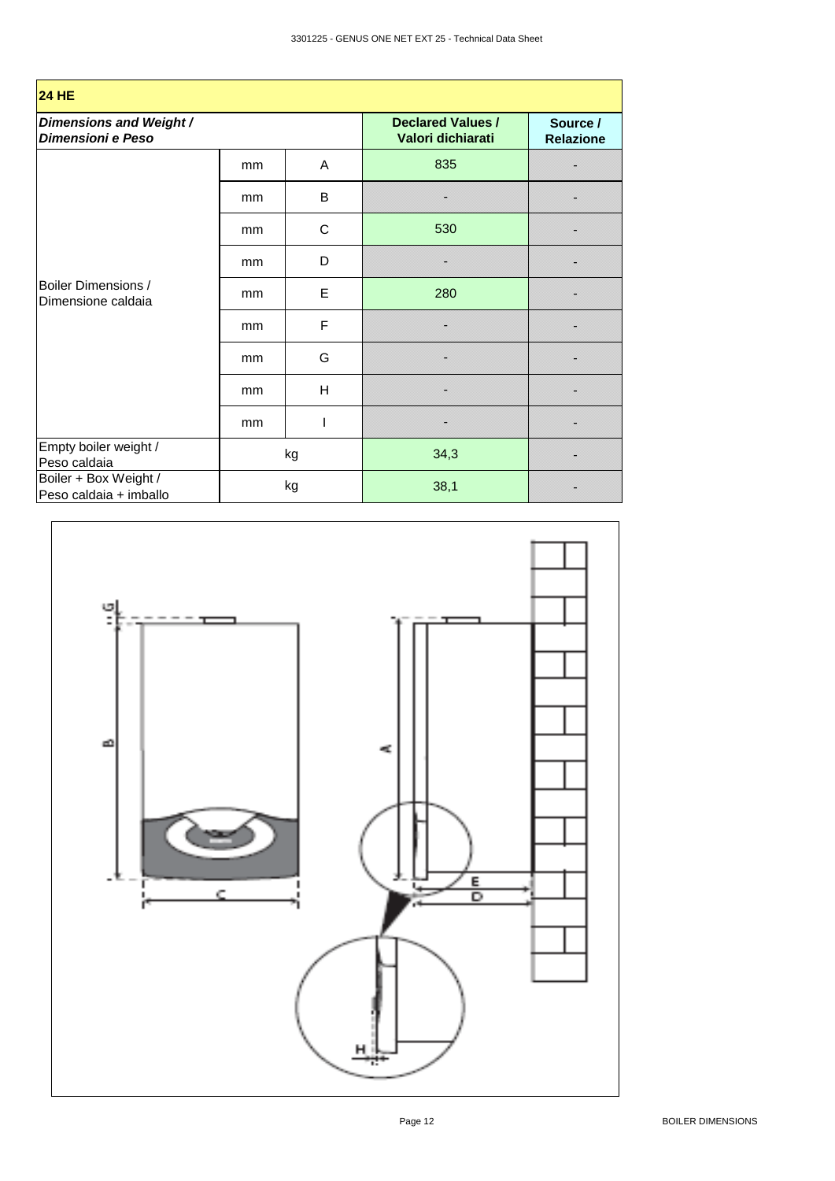| <b>24 HE</b>                                     |    |                                               |                              |  |  |  |  |
|--------------------------------------------------|----|-----------------------------------------------|------------------------------|--|--|--|--|
| Dimensions and Weight /<br>Dimensioni e Peso     |    | <b>Declared Values /</b><br>Valori dichiarati | Source /<br><b>Relazione</b> |  |  |  |  |
|                                                  | mm | A                                             | 835                          |  |  |  |  |
|                                                  | mm | B                                             |                              |  |  |  |  |
| <b>Boiler Dimensions /</b><br>Dimensione caldaia | mm | С                                             | 530                          |  |  |  |  |
|                                                  | mm | D                                             |                              |  |  |  |  |
|                                                  | mm | E                                             | 280                          |  |  |  |  |
|                                                  | mm | F                                             |                              |  |  |  |  |
|                                                  | mm | G                                             |                              |  |  |  |  |
|                                                  | mm | H                                             |                              |  |  |  |  |
|                                                  | mm |                                               |                              |  |  |  |  |
| Empty boiler weight /<br>Peso caldaia            |    | kg                                            | 34,3                         |  |  |  |  |
| Boiler + Box Weight /<br>Peso caldaia + imballo  | kg |                                               | 38,1                         |  |  |  |  |

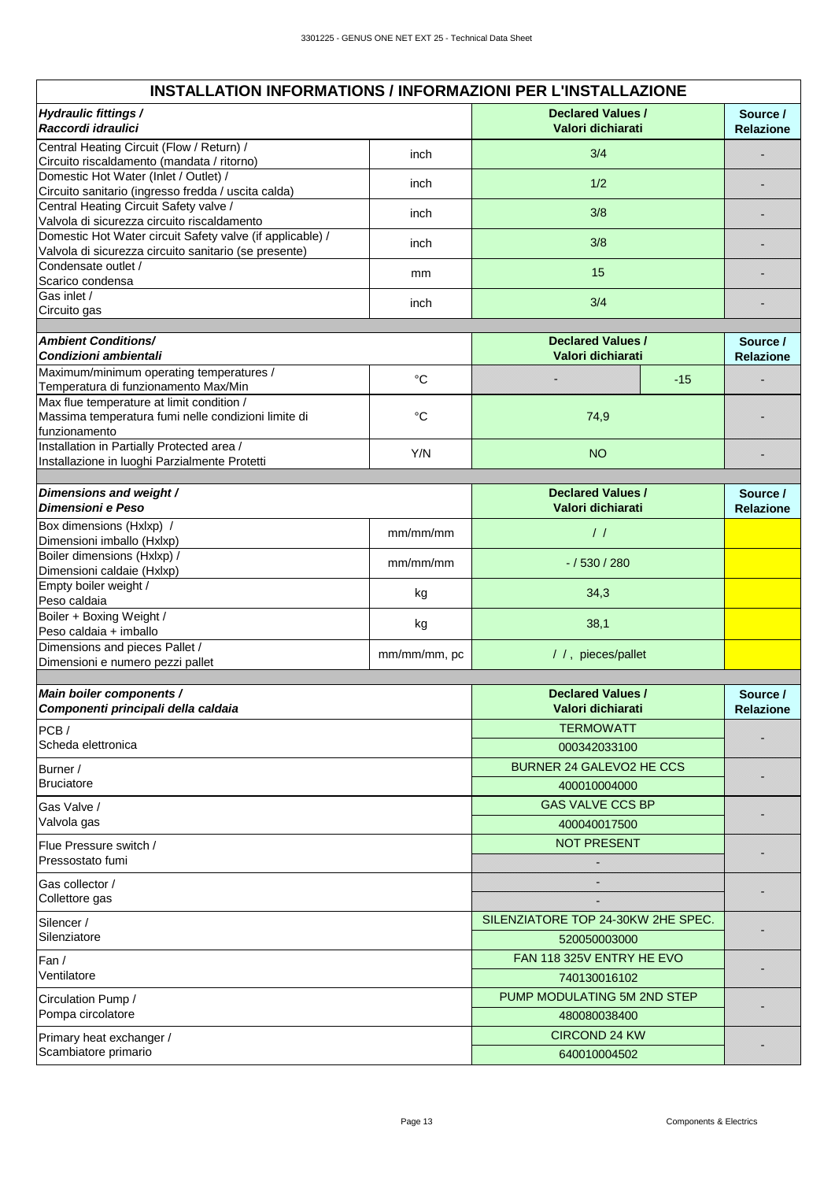| Hydraulic fittings /<br>Raccordi idraulici                                                                         |                                    | <b>Declared Values /</b><br>Valori dichiarati | Source /<br><b>Relazione</b> |
|--------------------------------------------------------------------------------------------------------------------|------------------------------------|-----------------------------------------------|------------------------------|
| Central Heating Circuit (Flow / Return) /<br>Circuito riscaldamento (mandata / ritorno)                            | inch                               | 3/4                                           |                              |
| Domestic Hot Water (Inlet / Outlet) /                                                                              | inch                               | 1/2                                           |                              |
| Circuito sanitario (ingresso fredda / uscita calda)                                                                |                                    |                                               |                              |
| Central Heating Circuit Safety valve /<br>Valvola di sicurezza circuito riscaldamento                              | inch                               | 3/8                                           |                              |
| Domestic Hot Water circuit Safety valve (if applicable) /<br>Valvola di sicurezza circuito sanitario (se presente) | inch                               | 3/8                                           |                              |
| Condensate outlet /<br>Scarico condensa                                                                            | mm                                 | 15                                            |                              |
| Gas inlet /<br>Circuito gas                                                                                        | inch                               | 3/4                                           |                              |
|                                                                                                                    |                                    |                                               |                              |
| <b>Ambient Conditions/</b>                                                                                         |                                    | <b>Declared Values /</b>                      | Source /                     |
| Condizioni ambientali                                                                                              |                                    | Valori dichiarati                             | <b>Relazione</b>             |
| Maximum/minimum operating temperatures /<br>Temperatura di funzionamento Max/Min                                   | $^{\circ}C$                        | $-15$                                         |                              |
| Max flue temperature at limit condition /                                                                          |                                    |                                               |                              |
| Massima temperatura fumi nelle condizioni limite di<br>funzionamento                                               | $\rm ^{\circ}C$                    | 74,9                                          |                              |
| Installation in Partially Protected area /                                                                         |                                    |                                               |                              |
| Installazione in luoghi Parzialmente Protetti                                                                      | Y/N                                | <b>NO</b>                                     |                              |
| Dimensions and weight /                                                                                            |                                    | <b>Declared Values /</b>                      | Source /                     |
| Dimensioni e Peso                                                                                                  |                                    | Valori dichiarati                             | <b>Relazione</b>             |
| Box dimensions (Hxlxp) /                                                                                           | mm/mm/mm                           | $\frac{1}{2}$                                 |                              |
| Dimensioni imballo (Hxlxp)<br>Boiler dimensions (Hxlxp) /                                                          |                                    |                                               |                              |
| Dimensioni caldaie (Hxlxp)                                                                                         | mm/mm/mm                           | $-/530/280$                                   |                              |
| Empty boiler weight /<br>Peso caldaia                                                                              | kg                                 | 34,3                                          |                              |
| Boiler + Boxing Weight /<br>Peso caldaia + imballo                                                                 | kg                                 | 38,1                                          |                              |
| Dimensions and pieces Pallet /<br>Dimensioni e numero pezzi pallet                                                 | mm/mm/mm, pc                       | / /, pieces/pallet                            |                              |
|                                                                                                                    |                                    |                                               |                              |
| Main boiler components /                                                                                           |                                    | <b>Declared Values /</b>                      | Source /                     |
| Componenti principali della caldaia                                                                                |                                    | Valori dichiarati                             | <b>Relazione</b>             |
| PCB/                                                                                                               |                                    | <b>TERMOWATT</b>                              |                              |
| Scheda elettronica                                                                                                 |                                    | 000342033100                                  |                              |
| Burner /                                                                                                           |                                    | <b>BURNER 24 GALEVO2 HE CCS</b>               |                              |
| <b>Bruciatore</b>                                                                                                  |                                    | 400010004000                                  |                              |
| Gas Valve /                                                                                                        |                                    | <b>GAS VALVE CCS BP</b>                       |                              |
| Valvola gas                                                                                                        |                                    | 400040017500                                  |                              |
| Flue Pressure switch /                                                                                             |                                    | <b>NOT PRESENT</b>                            |                              |
| Pressostato fumi                                                                                                   |                                    |                                               |                              |
| Gas collector /                                                                                                    |                                    |                                               |                              |
| Collettore gas                                                                                                     |                                    |                                               |                              |
| Silencer /                                                                                                         | SILENZIATORE TOP 24-30KW 2HE SPEC. |                                               |                              |
| Silenziatore                                                                                                       |                                    | 520050003000                                  |                              |
| Fan /<br>Ventilatore                                                                                               |                                    | FAN 118 325V ENTRY HE EVO<br>740130016102     |                              |
|                                                                                                                    |                                    | PUMP MODULATING 5M 2ND STEP                   |                              |
| Circulation Pump /<br>Pompa circolatore                                                                            |                                    | 480080038400                                  |                              |
| Primary heat exchanger /                                                                                           |                                    | <b>CIRCOND 24 KW</b>                          |                              |
| Scambiatore primario                                                                                               |                                    | 640010004502                                  |                              |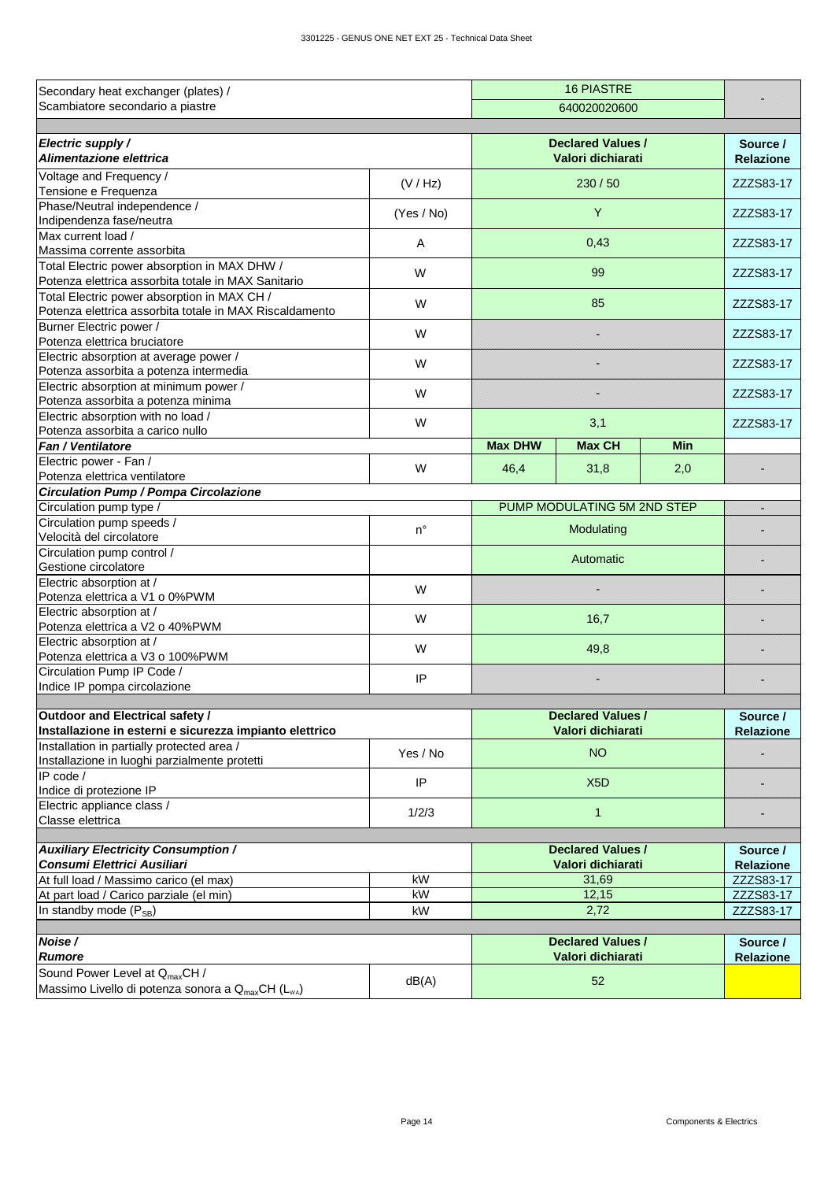| Secondary heat exchanger (plates) /                                              |             |                             |                                               |            |                               |
|----------------------------------------------------------------------------------|-------------|-----------------------------|-----------------------------------------------|------------|-------------------------------|
| Scambiatore secondario a piastre                                                 |             |                             |                                               |            |                               |
|                                                                                  |             |                             |                                               |            |                               |
| Electric supply /                                                                |             |                             | <b>Declared Values /</b>                      |            | Source /                      |
| Alimentazione elettrica                                                          |             |                             | Valori dichiarati                             |            | <b>Relazione</b>              |
| Voltage and Frequency /                                                          |             |                             |                                               |            |                               |
| Tensione e Frequenza                                                             | (V / Hz)    |                             | 230/50                                        |            | ZZZS83-17                     |
| Phase/Neutral independence /                                                     |             |                             |                                               |            |                               |
| Indipendenza fase/neutra                                                         | (Yes / No)  |                             |                                               | ZZZS83-17  |                               |
| Max current load /                                                               | A           |                             |                                               |            | ZZZS83-17                     |
| Massima corrente assorbita                                                       |             |                             | 0,43                                          |            |                               |
| Total Electric power absorption in MAX DHW /                                     | W           |                             | 99                                            |            | ZZZS83-17                     |
| Potenza elettrica assorbita totale in MAX Sanitario                              |             |                             |                                               |            |                               |
| Total Electric power absorption in MAX CH /                                      | W           |                             | 85                                            |            | ZZZS83-17                     |
| Potenza elettrica assorbita totale in MAX Riscaldamento                          |             |                             |                                               |            |                               |
| Burner Electric power /                                                          | W           |                             |                                               |            | ZZZS83-17                     |
| Potenza elettrica bruciatore                                                     |             |                             |                                               |            |                               |
| Electric absorption at average power /<br>Potenza assorbita a potenza intermedia | W           |                             |                                               |            | ZZZS83-17                     |
| Electric absorption at minimum power /                                           |             |                             |                                               |            |                               |
| Potenza assorbita a potenza minima                                               | W           |                             |                                               |            | ZZZS83-17                     |
| Electric absorption with no load /                                               |             |                             |                                               |            |                               |
| Potenza assorbita a carico nullo                                                 | W           |                             | 3,1                                           |            | ZZZS83-17                     |
| Fan / Ventilatore                                                                |             | <b>Max DHW</b>              | <b>Max CH</b>                                 | <b>Min</b> |                               |
| Electric power - Fan /                                                           |             |                             |                                               |            |                               |
| Potenza elettrica ventilatore                                                    | W           | 46,4                        | 31,8                                          | 2,0        |                               |
| <b>Circulation Pump / Pompa Circolazione</b>                                     |             |                             |                                               |            |                               |
| Circulation pump type /                                                          |             | PUMP MODULATING 5M 2ND STEP | ×                                             |            |                               |
| Circulation pump speeds /                                                        | $n^{\circ}$ |                             |                                               |            |                               |
| Velocità del circolatore                                                         |             |                             | Modulating                                    |            |                               |
| Circulation pump control /                                                       |             |                             |                                               |            |                               |
| Gestione circolatore                                                             |             |                             | Automatic                                     |            |                               |
| Electric absorption at /                                                         | W           |                             |                                               |            |                               |
| Potenza elettrica a V1 o 0%PWM                                                   |             |                             |                                               |            |                               |
| Electric absorption at /                                                         | W           |                             | 16,7                                          |            |                               |
| Potenza elettrica a V2 o 40%PWM                                                  |             |                             |                                               |            |                               |
| Electric absorption at /<br>Potenza elettrica a V3 o 100%PWM                     | W           |                             |                                               |            |                               |
| Circulation Pump IP Code /                                                       |             |                             |                                               |            |                               |
| Indice IP pompa circolazione                                                     | IP          |                             |                                               |            |                               |
|                                                                                  |             |                             |                                               |            |                               |
| Outdoor and Electrical safety /                                                  |             |                             | <b>Declared Values /</b>                      |            | Source /                      |
| Installazione in esterni e sicurezza impianto elettrico                          |             |                             | Valori dichiarati                             |            | <b>Relazione</b>              |
| Installation in partially protected area /                                       | Yes / No    |                             | <b>NO</b>                                     |            |                               |
| Installazione in luoghi parzialmente protetti                                    |             |                             |                                               |            |                               |
| IP code /                                                                        | IP          |                             | X <sub>5</sub> D                              |            |                               |
| Indice di protezione IP                                                          |             |                             |                                               |            |                               |
| Electric appliance class /                                                       | 1/2/3       |                             | $\mathbf{1}$                                  |            |                               |
| Classe elettrica                                                                 |             |                             |                                               |            |                               |
|                                                                                  |             |                             |                                               |            |                               |
| <b>Auxiliary Electricity Consumption /</b><br><b>Consumi Elettrici Ausiliari</b> |             |                             | <b>Declared Values /</b><br>Valori dichiarati |            | Source /                      |
| At full load / Massimo carico (el max)                                           | kW          |                             | 31,69                                         |            | <b>Relazione</b><br>ZZZS83-17 |
| At part load / Carico parziale (el min)                                          | kW          |                             |                                               | ZZZS83-17  |                               |
| In standby mode $(P_{SB})$                                                       | kW          |                             | 12,15<br>2,72                                 |            | ZZZS83-17                     |
|                                                                                  |             |                             |                                               |            |                               |
| Noise /                                                                          |             |                             | <b>Declared Values /</b>                      |            | Source /                      |
| Rumore                                                                           |             |                             | Valori dichiarati                             |            | <b>Relazione</b>              |
| Sound Power Level at Q <sub>max</sub> CH /                                       |             |                             |                                               |            |                               |
| Massimo Livello di potenza sonora a Q <sub>max</sub> CH (L <sub>wA</sub> )       | dB(A)       |                             | 52                                            |            |                               |
|                                                                                  |             |                             |                                               |            |                               |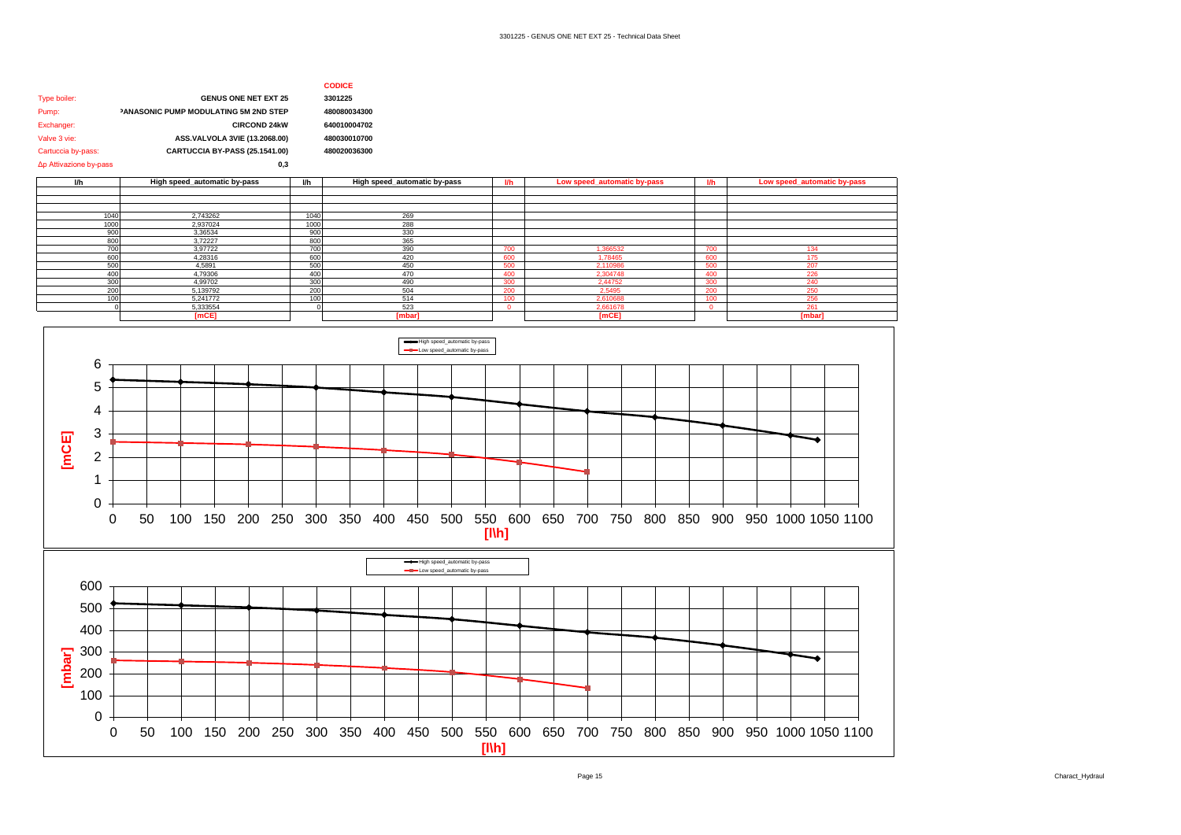### **CODICE**

| Type boiler:           | <b>GENUS ONE NET EXT 25</b>           | 3301225      |
|------------------------|---------------------------------------|--------------|
| Pump:                  | PANASONIC PUMP MODULATING 5M 2ND STEP | 480080034300 |
| Exchanger:             | <b>CIRCOND 24kW</b>                   | 640010004702 |
| Valve 3 vie:           | ASS.VALVOLA 3VIE (13.2068.00)         | 480030010700 |
| Cartuccia by-pass:     | CARTUCCIA BY-PASS (25.1541.00)        | 480020036300 |
| Δp Attivazione by-pass | 0.3                                   |              |

| <b>I/h</b> | High speed_automatic by-pass | W    | High speed_automatic by-pass |     | Low speed_automatic by-pass |     | Low speed_automatic by-pass |
|------------|------------------------------|------|------------------------------|-----|-----------------------------|-----|-----------------------------|
|            |                              |      |                              |     |                             |     |                             |
|            |                              |      |                              |     |                             |     |                             |
|            |                              |      |                              |     |                             |     |                             |
| 1040       | 2.743262                     | 1040 | 269                          |     |                             |     |                             |
| 1000       | 2,937024                     | 1000 | 288                          |     |                             |     |                             |
| 900        | 3,36534                      | 900  | 330                          |     |                             |     |                             |
| 800        | 3.72227                      | 800  | 365                          |     |                             |     |                             |
| 700        | 3.97722                      | 700  | 390                          | 700 | 1.366532                    | 700 | 134                         |
| 600        | 4.28316                      | 600  | 420                          | 600 | 1.78465                     | 600 | 175                         |
| 500        | 4,5891                       | 500  | 450                          | 500 | 2.110986                    | 500 | 207                         |
| 400        | 4,79306                      | 400  | 470                          | 400 | 2.304748                    | 400 | 226                         |
| 300        | 4,99702                      | 300  | 490                          | 300 | 2.44752                     | 300 | 240                         |
| 200        | 5.139792                     | 200  | 504                          | 200 | 2.5495                      | 200 | 250                         |
|            | 5,241772                     | 100  | 514                          | 100 | 2.610688                    |     | 256                         |
|            | 5,333554                     |      | 523                          |     | 2.661678                    |     | 261                         |
|            | [mCE]                        |      | [mbar]                       |     | [mCE]                       |     | [mbar]                      |

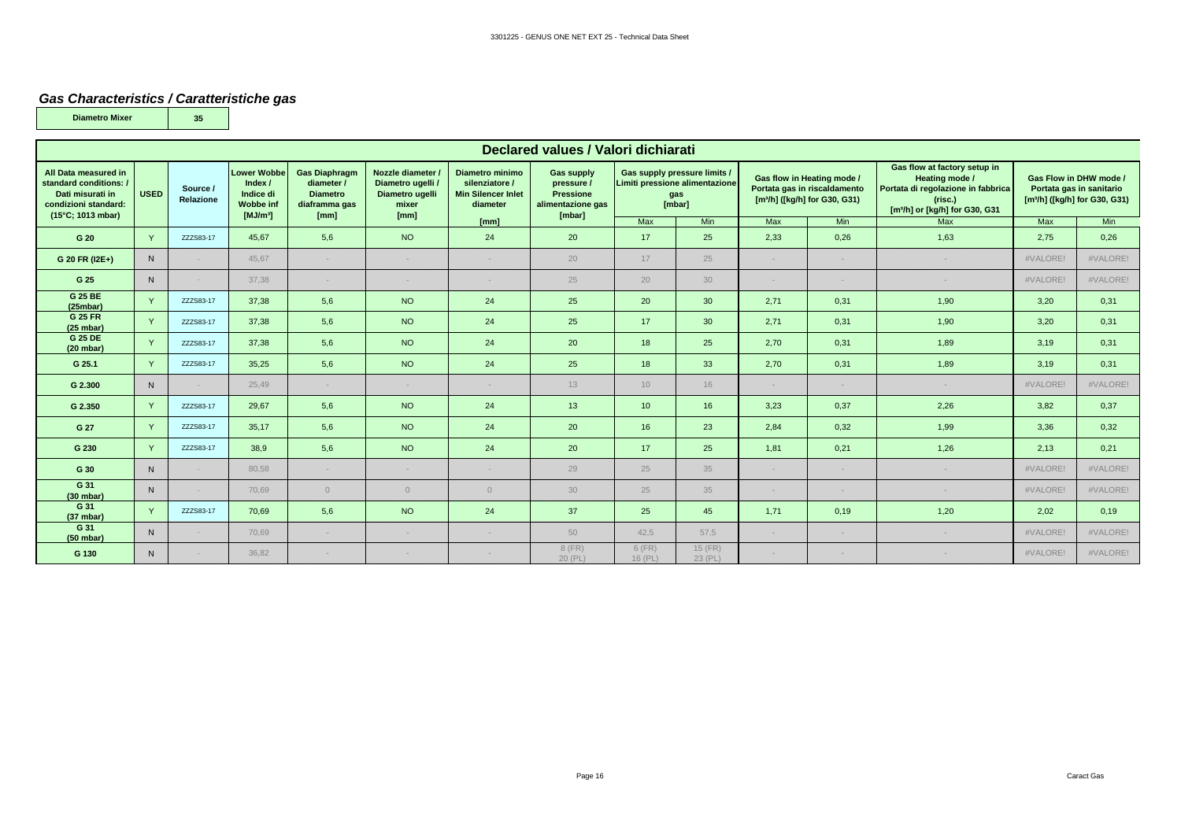#### *Gas Characteristics / Caratteristiche gas*

**35**

**Diametro Mixer**

| Declared values / Valori dichiarati                                                                             |              |                       |                                                                                          |                                                                                |                                                                          |                                                                                                                                                                  |                   |                   |                                                                                 |      |                                                                                                         |                                                                                                                                               |                                                                                                 |          |
|-----------------------------------------------------------------------------------------------------------------|--------------|-----------------------|------------------------------------------------------------------------------------------|--------------------------------------------------------------------------------|--------------------------------------------------------------------------|------------------------------------------------------------------------------------------------------------------------------------------------------------------|-------------------|-------------------|---------------------------------------------------------------------------------|------|---------------------------------------------------------------------------------------------------------|-----------------------------------------------------------------------------------------------------------------------------------------------|-------------------------------------------------------------------------------------------------|----------|
| All Data measured in<br>standard conditions: /<br>Dati misurati in<br>condizioni standard:<br>(15°C: 1013 mbar) | <b>USED</b>  | Source /<br>Relazione | <b>Lower Wobbe</b><br>Index $/$<br>Indice di<br><b>Wobbe inf</b><br>[MJ/m <sup>3</sup> ] | <b>Gas Diaphragm</b><br>diameter /<br><b>Diametro</b><br>diaframma gas<br>[mm] | Nozzle diameter<br>Diametro ugelli /<br>Diametro ugelli<br>mixer<br>[mm] | Diametro minimo<br><b>Gas supply</b><br>silenziatore /<br>pressure /<br><b>Min Silencer Inlet</b><br><b>Pressione</b><br>alimentazione gas<br>diameter<br>[mbar] |                   |                   | Gas supply pressure limits /<br>Limiti pressione alimentazione<br>gas<br>[mbar] |      | Gas flow in Heating mode /<br>Portata gas in riscaldamento<br>[m <sup>3</sup> /h] ([kg/h] for G30, G31) | Gas flow at factory setup in<br>Heating mode /<br>Portata di regolazione in fabbrica<br>(risc.)<br>[m <sup>3</sup> /h] or [kg/h] for G30, G31 | Gas Flow in DHW mode /<br>Portata gas in sanitario<br>[m <sup>3</sup> /h] ([kg/h] for G30, G31) |          |
|                                                                                                                 |              |                       |                                                                                          |                                                                                |                                                                          | [mm]                                                                                                                                                             |                   | Max               | Min                                                                             | Max  | Min                                                                                                     | <b>Max</b>                                                                                                                                    | <b>Max</b>                                                                                      | Min      |
| G 20                                                                                                            |              | ZZZS83-17             | 45,67                                                                                    | 5,6                                                                            | <b>NO</b>                                                                | 24                                                                                                                                                               | 20                | 17                | 25                                                                              | 2,33 | 0,26                                                                                                    | 1,63                                                                                                                                          | 2,75                                                                                            | 0,26     |
| G 20 FR (I2E+)                                                                                                  | $\mathsf{N}$ |                       | 45.67                                                                                    |                                                                                | 82                                                                       |                                                                                                                                                                  | 20                | 17                | 25                                                                              | w    | 8828                                                                                                    |                                                                                                                                               | #VALORE!                                                                                        | #VALORE! |
| G 25                                                                                                            | $\mathsf{N}$ | 828                   | 37,38                                                                                    |                                                                                | 83                                                                       |                                                                                                                                                                  | 25                | 20                | 30                                                                              | 83   | 8828                                                                                                    |                                                                                                                                               | #VALORE!                                                                                        | #VALORE! |
| G 25 BE<br>(25mbar)                                                                                             |              | ZZZS83-17             | 37,38                                                                                    | 5,6                                                                            | <b>NO</b>                                                                | 24                                                                                                                                                               | 25                | 20                | 30                                                                              | 2,71 | 0,31                                                                                                    | 1,90                                                                                                                                          | 3,20                                                                                            | 0,31     |
| G 25 FR<br>(25 mbar)                                                                                            | $\vee$       | ZZZS83-17             | 37,38                                                                                    | 5,6                                                                            | <b>NO</b>                                                                | 24                                                                                                                                                               | 25                | 17                | 30                                                                              | 2,71 | 0,31                                                                                                    | 1,90                                                                                                                                          | 3,20                                                                                            | 0,31     |
| G 25 DE<br>(20 mbar)                                                                                            | $\vee$       | ZZZS83-17             | 37.38                                                                                    | 5,6                                                                            | <b>NO</b>                                                                | 24                                                                                                                                                               | 20                | 18                | 25                                                                              | 2.70 | 0,31                                                                                                    | 1,89                                                                                                                                          | 3,19                                                                                            | 0,31     |
| G 25.1                                                                                                          |              | ZZZS83-17             | 35,25                                                                                    | 5,6                                                                            | <b>NO</b>                                                                | 24                                                                                                                                                               | 25                | 18                | 33                                                                              | 2,70 | 0,31                                                                                                    | 1,89                                                                                                                                          | 3,19                                                                                            | 0,31     |
| G 2.300                                                                                                         | N            |                       | 25.49                                                                                    |                                                                                | 828                                                                      | 2222                                                                                                                                                             | 13                | 10                | 16                                                                              | 3233 | 898                                                                                                     | 828                                                                                                                                           | #VALORE!                                                                                        | #VALORE! |
| G 2.350                                                                                                         |              | ZZZS83-17             | 29,67                                                                                    | 5,6                                                                            | <b>NO</b>                                                                | 24                                                                                                                                                               | 13                | 10 <sup>°</sup>   | 16                                                                              | 3,23 | 0,37                                                                                                    | 2,26                                                                                                                                          | 3,82                                                                                            | 0,37     |
| G 27                                                                                                            |              | ZZZS83-17             | 35.17                                                                                    | 5,6                                                                            | NO                                                                       | 24                                                                                                                                                               | 20                | 16                | 23                                                                              | 2,84 | 0,32                                                                                                    | 1,99                                                                                                                                          | 3.36                                                                                            | 0,32     |
| G 230                                                                                                           |              | ZZZS83-17             | 38,9                                                                                     | 5,6                                                                            | <b>NO</b>                                                                | 24                                                                                                                                                               | 20                | 17                | 25                                                                              | 1,81 | 0,21                                                                                                    | 1,26                                                                                                                                          | 2,13                                                                                            | 0,21     |
| G 30                                                                                                            | N            | 828                   | 80.58                                                                                    |                                                                                | 83                                                                       |                                                                                                                                                                  | 29                | 25                | 35                                                                              | 83   | 82                                                                                                      |                                                                                                                                               | #VALORE!                                                                                        | #VALORE! |
| $G$ 31<br>(30 mbar)                                                                                             | $\mathsf{N}$ |                       | 70.69                                                                                    | $\Omega$                                                                       | $\circ$                                                                  | $\Omega$                                                                                                                                                         | 30                | 25                | 35                                                                              |      |                                                                                                         |                                                                                                                                               | #VALORE!                                                                                        | #VALORE! |
| G 31<br>(37 mbar)                                                                                               |              | ZZZS83-17             | 70.69                                                                                    | 5,6                                                                            | NO                                                                       | 24                                                                                                                                                               | 37                | 25                | 45                                                                              | 1,71 | 0,19                                                                                                    | 1,20                                                                                                                                          | 2,02                                                                                            | 0,19     |
| G 31<br>(50 mbar)                                                                                               | N            |                       | 70.69                                                                                    |                                                                                | 83                                                                       | 828                                                                                                                                                              | 50                | 42.5              | 57.5                                                                            | 8288 | 88                                                                                                      | 88                                                                                                                                            | #VALORE!                                                                                        | #VALORE! |
| G 130                                                                                                           | N            |                       | 36.82                                                                                    |                                                                                |                                                                          |                                                                                                                                                                  | 8 (FR)<br>20 (PL) | 6 (FR)<br>16 (PL) | 15 (FR)<br>23 (PL)                                                              |      | 8828                                                                                                    |                                                                                                                                               | #VALORE!                                                                                        | #VALORE! |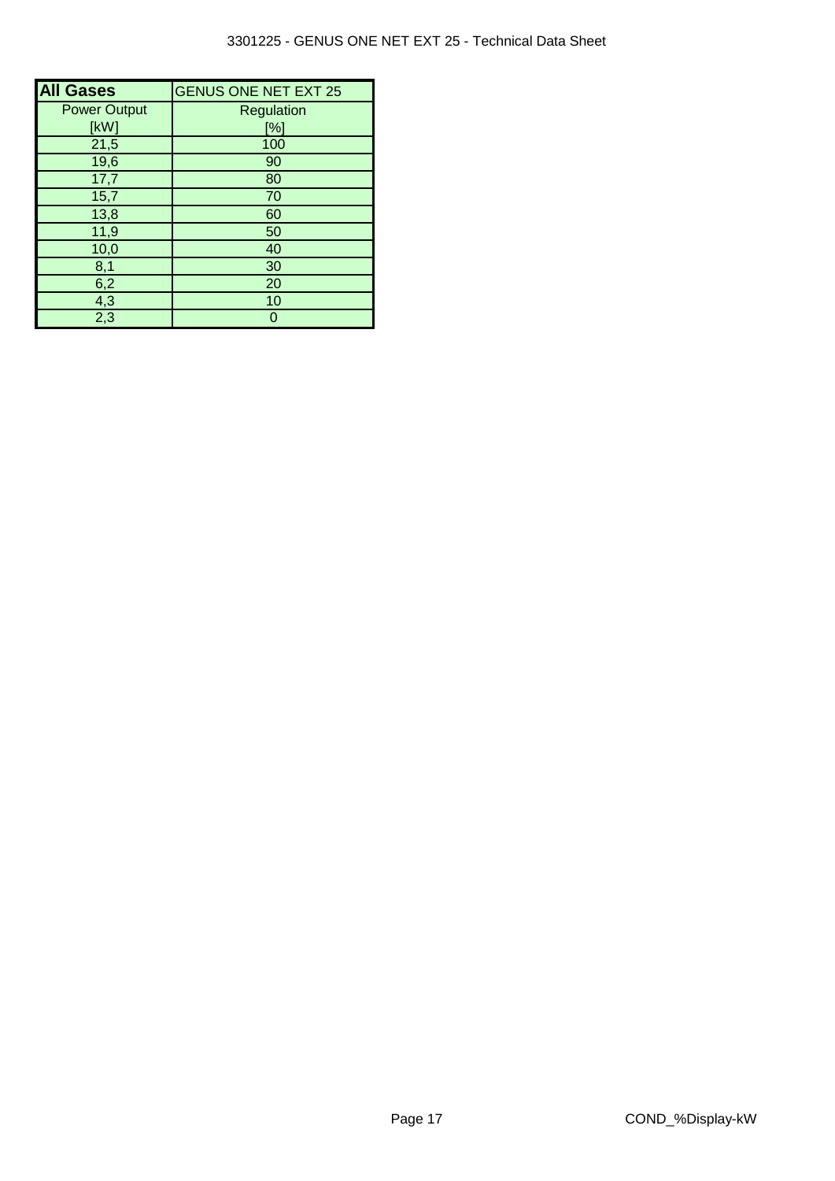| <b>All Gases</b>    | <b>GENUS ONE NET EXT 25</b> |
|---------------------|-----------------------------|
| <b>Power Output</b> | Regulation                  |
| [kW]                | [%]                         |
| 21,5                | 100                         |
| 19,6                | 90                          |
| 17,7                | 80                          |
| 15,7                | 70                          |
| 13,8                | 60                          |
| 11,9                | 50                          |
| 10,0                | 40                          |
| 8,1                 | 30                          |
| 6,2                 | 20                          |
| 4,3                 | 10                          |
| $\overline{2,3}$    | $\Omega$                    |